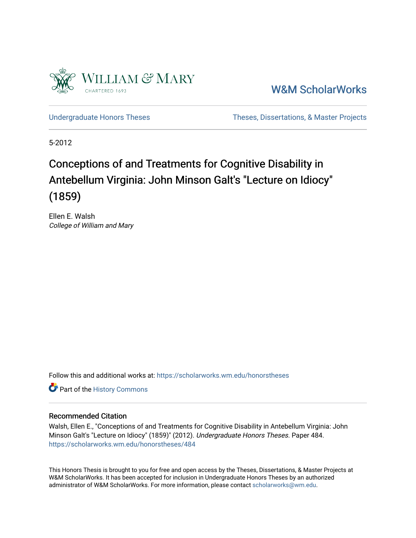

[W&M ScholarWorks](https://scholarworks.wm.edu/) 

[Undergraduate Honors Theses](https://scholarworks.wm.edu/honorstheses) Theses Theses, Dissertations, & Master Projects

5-2012

# Conceptions of and Treatments for Cognitive Disability in Antebellum Virginia: John Minson Galt's "Lecture on Idiocy" (1859)

Ellen E. Walsh College of William and Mary

Follow this and additional works at: [https://scholarworks.wm.edu/honorstheses](https://scholarworks.wm.edu/honorstheses?utm_source=scholarworks.wm.edu%2Fhonorstheses%2F484&utm_medium=PDF&utm_campaign=PDFCoverPages) 

Part of the [History Commons](http://network.bepress.com/hgg/discipline/489?utm_source=scholarworks.wm.edu%2Fhonorstheses%2F484&utm_medium=PDF&utm_campaign=PDFCoverPages) 

#### Recommended Citation

Walsh, Ellen E., "Conceptions of and Treatments for Cognitive Disability in Antebellum Virginia: John Minson Galt's "Lecture on Idiocy" (1859)" (2012). Undergraduate Honors Theses. Paper 484. [https://scholarworks.wm.edu/honorstheses/484](https://scholarworks.wm.edu/honorstheses/484?utm_source=scholarworks.wm.edu%2Fhonorstheses%2F484&utm_medium=PDF&utm_campaign=PDFCoverPages) 

This Honors Thesis is brought to you for free and open access by the Theses, Dissertations, & Master Projects at W&M ScholarWorks. It has been accepted for inclusion in Undergraduate Honors Theses by an authorized administrator of W&M ScholarWorks. For more information, please contact [scholarworks@wm.edu.](mailto:scholarworks@wm.edu)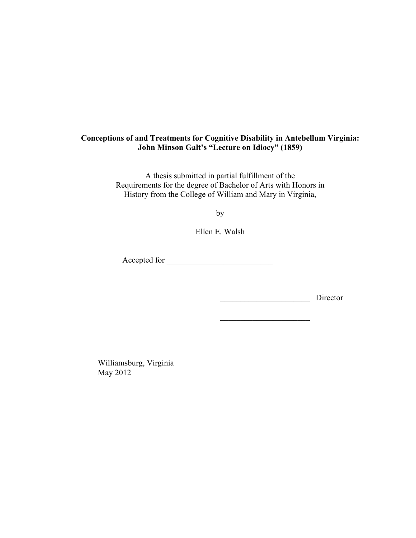# **Conceptions of and Treatments for Cognitive Disability in Antebellum Virginia: John Minson Galt's "Lecture on Idiocy" (1859)**

A thesis submitted in partial fulfillment of the Requirements for the degree of Bachelor of Arts with Honors in History from the College of William and Mary in Virginia,

by

Ellen E. Walsh

Accepted for \_\_\_\_\_\_\_\_\_\_\_\_\_\_\_\_\_\_\_\_\_\_\_\_\_\_

\_\_\_\_\_\_\_\_\_\_\_\_\_\_\_\_\_\_\_\_\_\_ Director

\_\_\_\_\_\_\_\_\_\_\_\_\_\_\_\_\_\_\_\_\_\_

 $\overline{\phantom{a}}$  , where  $\overline{\phantom{a}}$  , where  $\overline{\phantom{a}}$  , where  $\overline{\phantom{a}}$ 

Williamsburg, Virginia May 2012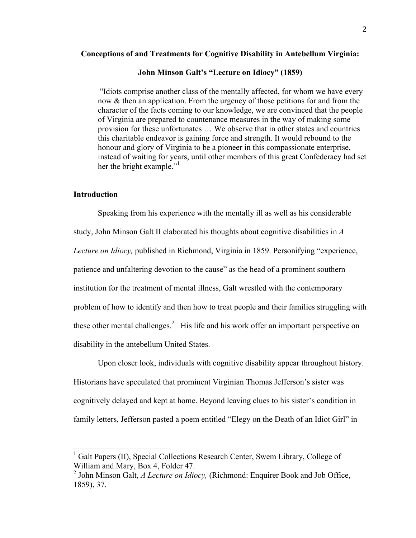#### **Conceptions of and Treatments for Cognitive Disability in Antebellum Virginia:**

## **John Minson Galt's "Lecture on Idiocy" (1859)**

 "Idiots comprise another class of the mentally affected, for whom we have every now & then an application. From the urgency of those petitions for and from the character of the facts coming to our knowledge, we are convinced that the people of Virginia are prepared to countenance measures in the way of making some provision for these unfortunates … We observe that in other states and countries this charitable endeavor is gaining force and strength. It would rebound to the honour and glory of Virginia to be a pioneer in this compassionate enterprise, instead of waiting for years, until other members of this great Confederacy had set her the bright example."<sup>1</sup>

### **Introduction**

Speaking from his experience with the mentally ill as well as his considerable study, John Minson Galt II elaborated his thoughts about cognitive disabilities in *A Lecture on Idiocy,* published in Richmond, Virginia in 1859. Personifying "experience, patience and unfaltering devotion to the cause" as the head of a prominent southern institution for the treatment of mental illness, Galt wrestled with the contemporary problem of how to identify and then how to treat people and their families struggling with these other mental challenges.<sup>2</sup> His life and his work offer an important perspective on disability in the antebellum United States.

Upon closer look, individuals with cognitive disability appear throughout history. Historians have speculated that prominent Virginian Thomas Jefferson's sister was cognitively delayed and kept at home. Beyond leaving clues to his sister's condition in family letters, Jefferson pasted a poem entitled "Elegy on the Death of an Idiot Girl" in

<sup>&</sup>lt;sup>1</sup> Galt Papers (II), Special Collections Research Center, Swem Library, College of William and Mary, Box 4, Folder 47.

<sup>&</sup>lt;sup>2</sup> John Minson Galt, *A Lecture on Idiocy*, (Richmond: Enquirer Book and Job Office, 1859), 37.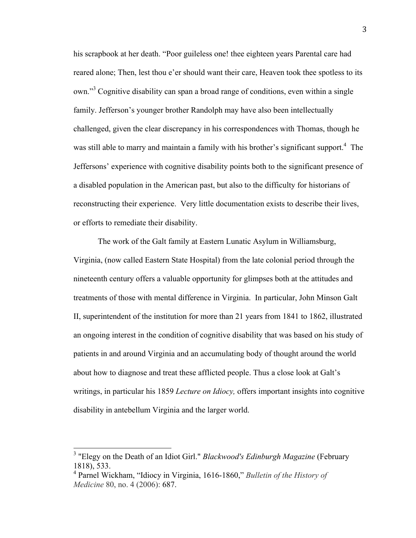his scrapbook at her death. "Poor guileless one! thee eighteen years Parental care had reared alone; Then, lest thou e'er should want their care, Heaven took thee spotless to its own."<sup>3</sup> Cognitive disability can span a broad range of conditions, even within a single family. Jefferson's younger brother Randolph may have also been intellectually challenged, given the clear discrepancy in his correspondences with Thomas, though he was still able to marry and maintain a family with his brother's significant support.<sup>4</sup> The Jeffersons' experience with cognitive disability points both to the significant presence of a disabled population in the American past, but also to the difficulty for historians of reconstructing their experience. Very little documentation exists to describe their lives, or efforts to remediate their disability.

The work of the Galt family at Eastern Lunatic Asylum in Williamsburg, Virginia, (now called Eastern State Hospital) from the late colonial period through the nineteenth century offers a valuable opportunity for glimpses both at the attitudes and treatments of those with mental difference in Virginia. In particular, John Minson Galt II, superintendent of the institution for more than 21 years from 1841 to 1862, illustrated an ongoing interest in the condition of cognitive disability that was based on his study of patients in and around Virginia and an accumulating body of thought around the world about how to diagnose and treat these afflicted people. Thus a close look at Galt's writings, in particular his 1859 *Lecture on Idiocy,* offers important insights into cognitive disability in antebellum Virginia and the larger world.

 <sup>3</sup> "Elegy on the Death of an Idiot Girl." *Blackwood's Edinburgh Magazine* (February 1818), 533.

<sup>4</sup> Parnel Wickham, "Idiocy in Virginia, 1616-1860," *Bulletin of the History of Medicine* 80, no. 4 (2006): 687.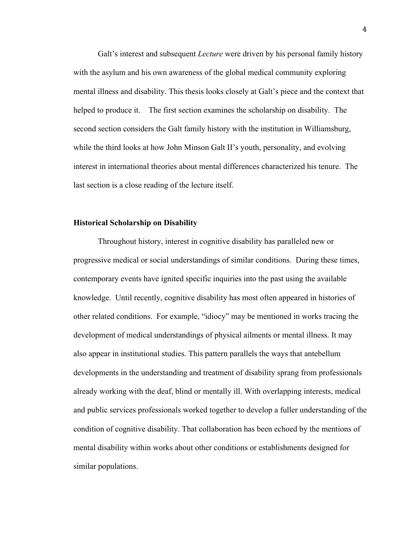Galt's interest and subsequent *Lecture* were driven by his personal family history with the asylum and his own awareness of the global medical community exploring mental illness and disability. This thesis looks closely at Galt's piece and the context that helped to produce it. The first section examines the scholarship on disability. The second section considers the Galt family history with the institution in Williamsburg, while the third looks at how John Minson Galt II's youth, personality, and evolving interest in international theories about mental differences characterized his tenure. The last section is a close reading of the lecture itself.

#### **Historical Scholarship on Disability**

Throughout history, interest in cognitive disability has paralleled new or progressive medical or social understandings of similar conditions. During these times, contemporary events have ignited specific inquiries into the past using the available knowledge. Until recently, cognitive disability has most often appeared in histories of other related conditions. For example, "idiocy" may be mentioned in works tracing the development of medical understandings of physical ailments or mental illness. It may also appear in institutional studies. This pattern parallels the ways that antebellum developments in the understanding and treatment of disability sprang from professionals already working with the deaf, blind or mentally ill. With overlapping interests, medical and public services professionals worked together to develop a fuller understanding of the condition of cognitive disability. That collaboration has been echoed by the mentions of mental disability within works about other conditions or establishments designed for similar populations.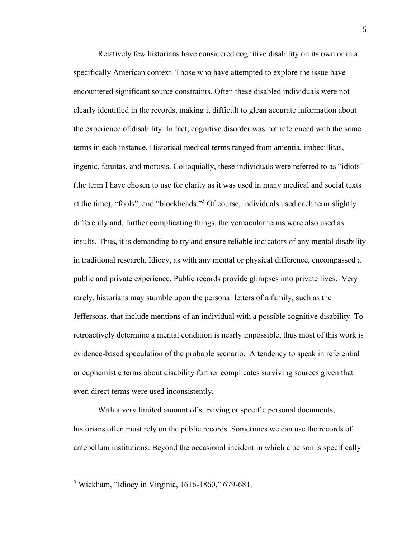Relatively few historians have considered cognitive disability on its own or in a specifically American context. Those who have attempted to explore the issue have encountered significant source constraints. Often these disabled individuals were not clearly identified in the records, making it difficult to glean accurate information about the experience of disability. In fact, cognitive disorder was not referenced with the same terms in each instance. Historical medical terms ranged from amentia, imbecillitas, ingenic, fatuitas, and morosis. Colloquially, these individuals were referred to as "idiots" (the term I have chosen to use for clarity as it was used in many medical and social texts at the time), "fools", and "blockheads." 5 Of course, individuals used each term slightly differently and, further complicating things, the vernacular terms were also used as insults. Thus, it is demanding to try and ensure reliable indicators of any mental disability in traditional research. Idiocy, as with any mental or physical difference, encompassed a public and private experience. Public records provide glimpses into private lives. Very rarely, historians may stumble upon the personal letters of a family, such as the Jeffersons, that include mentions of an individual with a possible cognitive disability. To retroactively determine a mental condition is nearly impossible, thus most of this work is evidence-based speculation of the probable scenario. A tendency to speak in referential or euphemistic terms about disability further complicates surviving sources given that even direct terms were used inconsistently.

With a very limited amount of surviving or specific personal documents, historians often must rely on the public records. Sometimes we can use the records of antebellum institutions. Beyond the occasional incident in which a person is specifically

 <sup>5</sup> Wickham, "Idiocy in Virginia, 1616-1860," 679-681.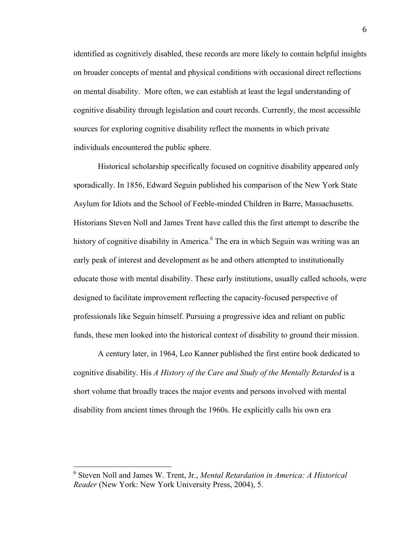identified as cognitively disabled, these records are more likely to contain helpful insights on broader concepts of mental and physical conditions with occasional direct reflections on mental disability. More often, we can establish at least the legal understanding of cognitive disability through legislation and court records. Currently, the most accessible sources for exploring cognitive disability reflect the moments in which private individuals encountered the public sphere.

Historical scholarship specifically focused on cognitive disability appeared only sporadically. In 1856, Edward Seguin published his comparison of the New York State Asylum for Idiots and the School of Feeble-minded Children in Barre, Massachusetts. Historians Steven Noll and James Trent have called this the first attempt to describe the history of cognitive disability in America.<sup>6</sup> The era in which Seguin was writing was an early peak of interest and development as he and others attempted to institutionally educate those with mental disability. These early institutions, usually called schools, were designed to facilitate improvement reflecting the capacity-focused perspective of professionals like Seguin himself. Pursuing a progressive idea and reliant on public funds, these men looked into the historical context of disability to ground their mission.

A century later, in 1964, Leo Kanner published the first entire book dedicated to cognitive disability. His *A History of the Care and Study of the Mentally Retarded* is a short volume that broadly traces the major events and persons involved with mental disability from ancient times through the 1960s. He explicitly calls his own era

 <sup>6</sup> Steven Noll and James W. Trent, Jr., *Mental Retardation in America: A Historical Reader* (New York: New York University Press, 2004), 5.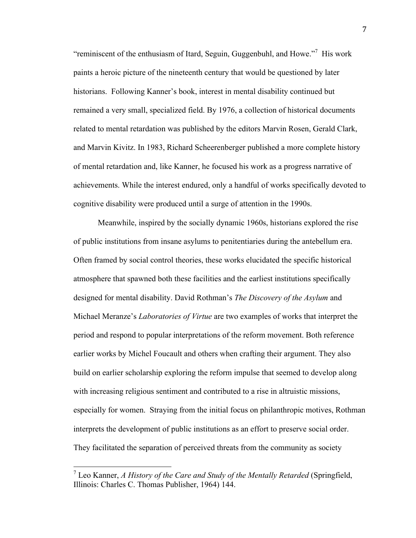"reminiscent of the enthusiasm of Itard, Seguin, Guggenbuhl, and Howe."<sup>7</sup> His work paints a heroic picture of the nineteenth century that would be questioned by later historians. Following Kanner's book, interest in mental disability continued but remained a very small, specialized field. By 1976, a collection of historical documents related to mental retardation was published by the editors Marvin Rosen, Gerald Clark, and Marvin Kivitz. In 1983, Richard Scheerenberger published a more complete history of mental retardation and, like Kanner, he focused his work as a progress narrative of achievements. While the interest endured, only a handful of works specifically devoted to cognitive disability were produced until a surge of attention in the 1990s.

Meanwhile, inspired by the socially dynamic 1960s, historians explored the rise of public institutions from insane asylums to penitentiaries during the antebellum era. Often framed by social control theories, these works elucidated the specific historical atmosphere that spawned both these facilities and the earliest institutions specifically designed for mental disability. David Rothman's *The Discovery of the Asylum* and Michael Meranze's *Laboratories of Virtue* are two examples of works that interpret the period and respond to popular interpretations of the reform movement. Both reference earlier works by Michel Foucault and others when crafting their argument. They also build on earlier scholarship exploring the reform impulse that seemed to develop along with increasing religious sentiment and contributed to a rise in altruistic missions, especially for women. Straying from the initial focus on philanthropic motives, Rothman interprets the development of public institutions as an effort to preserve social order. They facilitated the separation of perceived threats from the community as society

 <sup>7</sup> Leo Kanner, *A History of the Care and Study of the Mentally Retarded* (Springfield, Illinois: Charles C. Thomas Publisher, 1964) 144.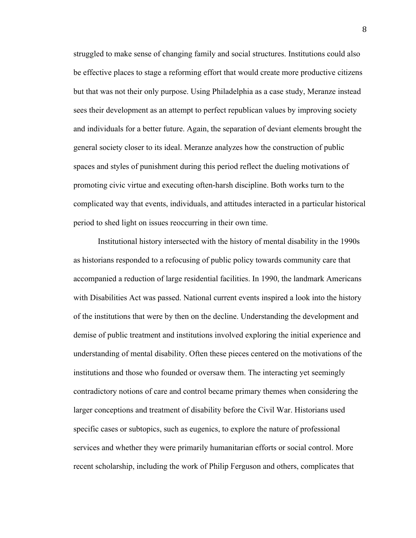struggled to make sense of changing family and social structures. Institutions could also be effective places to stage a reforming effort that would create more productive citizens but that was not their only purpose. Using Philadelphia as a case study, Meranze instead sees their development as an attempt to perfect republican values by improving society and individuals for a better future. Again, the separation of deviant elements brought the general society closer to its ideal. Meranze analyzes how the construction of public spaces and styles of punishment during this period reflect the dueling motivations of promoting civic virtue and executing often-harsh discipline. Both works turn to the complicated way that events, individuals, and attitudes interacted in a particular historical period to shed light on issues reoccurring in their own time.

Institutional history intersected with the history of mental disability in the 1990s as historians responded to a refocusing of public policy towards community care that accompanied a reduction of large residential facilities. In 1990, the landmark Americans with Disabilities Act was passed. National current events inspired a look into the history of the institutions that were by then on the decline. Understanding the development and demise of public treatment and institutions involved exploring the initial experience and understanding of mental disability. Often these pieces centered on the motivations of the institutions and those who founded or oversaw them. The interacting yet seemingly contradictory notions of care and control became primary themes when considering the larger conceptions and treatment of disability before the Civil War. Historians used specific cases or subtopics, such as eugenics, to explore the nature of professional services and whether they were primarily humanitarian efforts or social control. More recent scholarship, including the work of Philip Ferguson and others, complicates that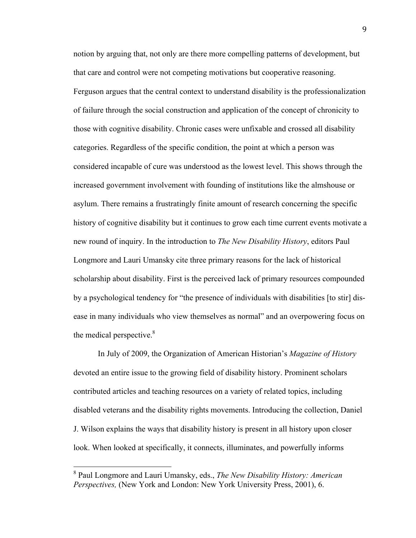notion by arguing that, not only are there more compelling patterns of development, but that care and control were not competing motivations but cooperative reasoning. Ferguson argues that the central context to understand disability is the professionalization of failure through the social construction and application of the concept of chronicity to those with cognitive disability. Chronic cases were unfixable and crossed all disability categories. Regardless of the specific condition, the point at which a person was considered incapable of cure was understood as the lowest level. This shows through the increased government involvement with founding of institutions like the almshouse or asylum. There remains a frustratingly finite amount of research concerning the specific history of cognitive disability but it continues to grow each time current events motivate a new round of inquiry. In the introduction to *The New Disability History*, editors Paul Longmore and Lauri Umansky cite three primary reasons for the lack of historical scholarship about disability. First is the perceived lack of primary resources compounded by a psychological tendency for "the presence of individuals with disabilities [to stir] disease in many individuals who view themselves as normal" and an overpowering focus on the medical perspective.<sup>8</sup>

In July of 2009, the Organization of American Historian's *Magazine of History* devoted an entire issue to the growing field of disability history. Prominent scholars contributed articles and teaching resources on a variety of related topics, including disabled veterans and the disability rights movements. Introducing the collection, Daniel J. Wilson explains the ways that disability history is present in all history upon closer look. When looked at specifically, it connects, illuminates, and powerfully informs

 <sup>8</sup> Paul Longmore and Lauri Umansky, eds., *The New Disability History: American Perspectives,* (New York and London: New York University Press, 2001), 6.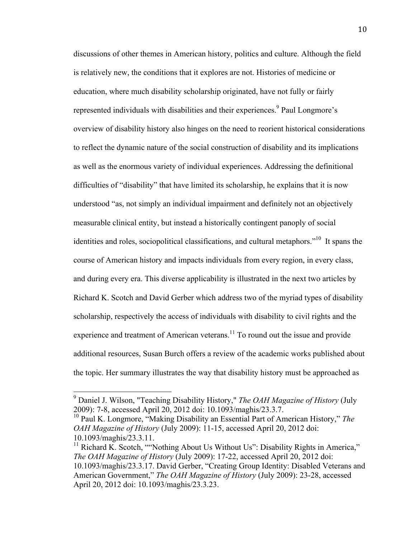discussions of other themes in American history, politics and culture. Although the field is relatively new, the conditions that it explores are not. Histories of medicine or education, where much disability scholarship originated, have not fully or fairly represented individuals with disabilities and their experiences.<sup>9</sup> Paul Longmore's overview of disability history also hinges on the need to reorient historical considerations to reflect the dynamic nature of the social construction of disability and its implications as well as the enormous variety of individual experiences. Addressing the definitional difficulties of "disability" that have limited its scholarship, he explains that it is now understood "as, not simply an individual impairment and definitely not an objectively measurable clinical entity, but instead a historically contingent panoply of social identities and roles, sociopolitical classifications, and cultural metaphors.<sup> $10$ </sup> It spans the course of American history and impacts individuals from every region, in every class, and during every era. This diverse applicability is illustrated in the next two articles by Richard K. Scotch and David Gerber which address two of the myriad types of disability scholarship, respectively the access of individuals with disability to civil rights and the experience and treatment of American veterans.<sup>11</sup> To round out the issue and provide additional resources, Susan Burch offers a review of the academic works published about the topic. Her summary illustrates the way that disability history must be approached as

 <sup>9</sup> Daniel J. Wilson, "Teaching Disability History," *The OAH Magazine of History* (July 2009): 7-8, accessed April 20, 2012 doi: 10.1093/maghis/23.3.7. 10 Paul K. Longmore, "Making Disability an Essential Part of American History," *The* 

*OAH Magazine of History* (July 2009): 11-15, accessed April 20, 2012 doi: 10.1093/maghis/23.3.11.

<sup>&</sup>lt;sup>11</sup> Richard K. Scotch, ""Nothing About Us Without Us": Disability Rights in America," *The OAH Magazine of History* (July 2009): 17-22, accessed April 20, 2012 doi: 10.1093/maghis/23.3.17. David Gerber, "Creating Group Identity: Disabled Veterans and American Government," *The OAH Magazine of History* (July 2009): 23-28, accessed April 20, 2012 doi: 10.1093/maghis/23.3.23.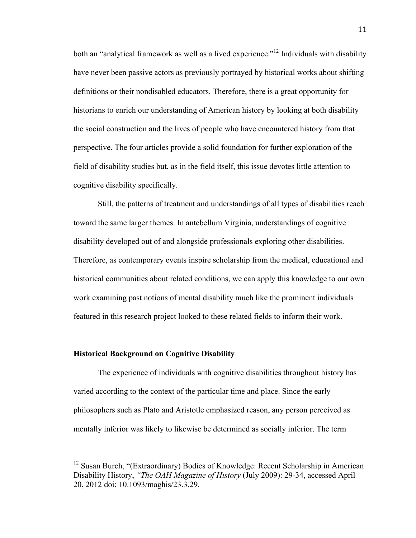both an "analytical framework as well as a lived experience."<sup>12</sup> Individuals with disability have never been passive actors as previously portrayed by historical works about shifting definitions or their nondisabled educators. Therefore, there is a great opportunity for historians to enrich our understanding of American history by looking at both disability the social construction and the lives of people who have encountered history from that perspective. The four articles provide a solid foundation for further exploration of the field of disability studies but, as in the field itself, this issue devotes little attention to cognitive disability specifically.

Still, the patterns of treatment and understandings of all types of disabilities reach toward the same larger themes. In antebellum Virginia, understandings of cognitive disability developed out of and alongside professionals exploring other disabilities. Therefore, as contemporary events inspire scholarship from the medical, educational and historical communities about related conditions, we can apply this knowledge to our own work examining past notions of mental disability much like the prominent individuals featured in this research project looked to these related fields to inform their work.

#### **Historical Background on Cognitive Disability**

The experience of individuals with cognitive disabilities throughout history has varied according to the context of the particular time and place. Since the early philosophers such as Plato and Aristotle emphasized reason, any person perceived as mentally inferior was likely to likewise be determined as socially inferior. The term

<sup>&</sup>lt;sup>12</sup> Susan Burch, "(Extraordinary) Bodies of Knowledge: Recent Scholarship in American Disability History, *"The OAH Magazine of History* (July 2009): 29-34, accessed April 20, 2012 doi: 10.1093/maghis/23.3.29.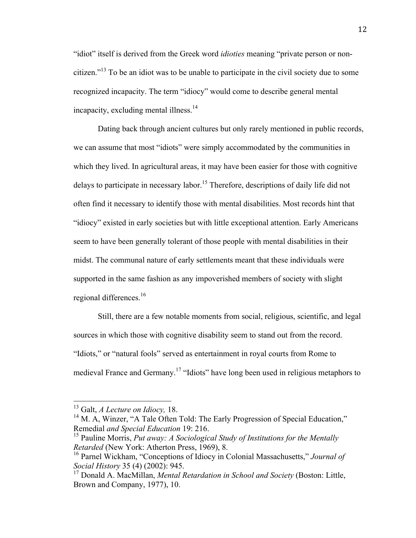"idiot" itself is derived from the Greek word *idioties* meaning "private person or noncitizen."13 To be an idiot was to be unable to participate in the civil society due to some recognized incapacity. The term "idiocy" would come to describe general mental incapacity, excluding mental illness.<sup>14</sup>

Dating back through ancient cultures but only rarely mentioned in public records, we can assume that most "idiots" were simply accommodated by the communities in which they lived. In agricultural areas, it may have been easier for those with cognitive delays to participate in necessary labor.<sup>15</sup> Therefore, descriptions of daily life did not often find it necessary to identify those with mental disabilities. Most records hint that "idiocy" existed in early societies but with little exceptional attention. Early Americans seem to have been generally tolerant of those people with mental disabilities in their midst. The communal nature of early settlements meant that these individuals were supported in the same fashion as any impoverished members of society with slight regional differences. $16$ 

Still, there are a few notable moments from social, religious, scientific, and legal sources in which those with cognitive disability seem to stand out from the record. "Idiots," or "natural fools" served as entertainment in royal courts from Rome to medieval France and Germany.<sup>17</sup> "Idiots" have long been used in religious metaphors to

 13 Galt, *A Lecture on Idiocy,* 18.

<sup>&</sup>lt;sup>14</sup> M. A, Winzer, "A Tale Often Told: The Early Progression of Special Education," Remedial *and Special Education* 19: 216.

<sup>15</sup> Pauline Morris, *Put away: A Sociological Study of Institutions for the Mentally Retarded* (New York: Atherton Press, 1969), 8.

<sup>16</sup> Parnel Wickham, "Conceptions of Idiocy in Colonial Massachusetts," *Journal of Social History* 35 (4) (2002): 945.

<sup>17</sup> Donald A. MacMillan, *Mental Retardation in School and Society* (Boston: Little, Brown and Company, 1977), 10.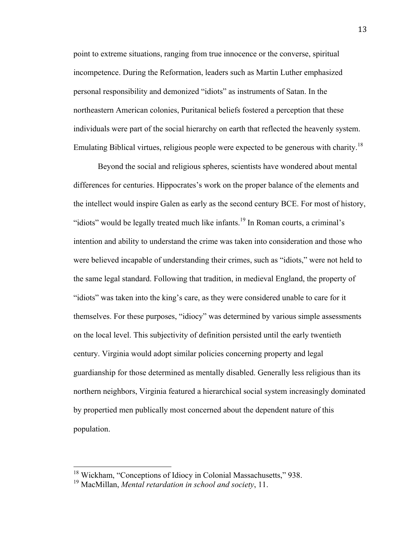point to extreme situations, ranging from true innocence or the converse, spiritual incompetence. During the Reformation, leaders such as Martin Luther emphasized personal responsibility and demonized "idiots" as instruments of Satan. In the northeastern American colonies, Puritanical beliefs fostered a perception that these individuals were part of the social hierarchy on earth that reflected the heavenly system. Emulating Biblical virtues, religious people were expected to be generous with charity.<sup>18</sup>

Beyond the social and religious spheres, scientists have wondered about mental differences for centuries. Hippocrates's work on the proper balance of the elements and the intellect would inspire Galen as early as the second century BCE. For most of history, "idiots" would be legally treated much like infants.19 In Roman courts, a criminal's intention and ability to understand the crime was taken into consideration and those who were believed incapable of understanding their crimes, such as "idiots," were not held to the same legal standard. Following that tradition, in medieval England, the property of "idiots" was taken into the king's care, as they were considered unable to care for it themselves. For these purposes, "idiocy" was determined by various simple assessments on the local level. This subjectivity of definition persisted until the early twentieth century. Virginia would adopt similar policies concerning property and legal guardianship for those determined as mentally disabled. Generally less religious than its northern neighbors, Virginia featured a hierarchical social system increasingly dominated by propertied men publically most concerned about the dependent nature of this population.

 <sup>18</sup> Wickham, "Conceptions of Idiocy in Colonial Massachusetts," 938.

<sup>19</sup> MacMillan, *Mental retardation in school and society*, 11.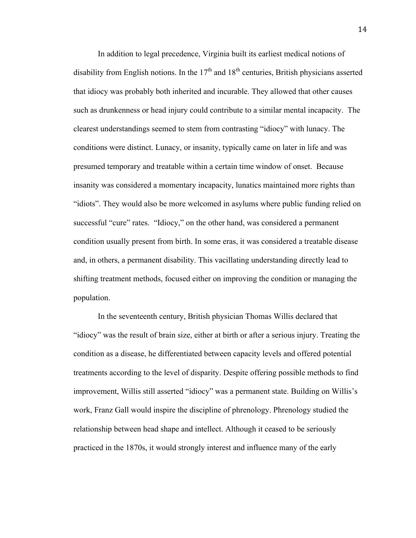In addition to legal precedence, Virginia built its earliest medical notions of disability from English notions. In the  $17<sup>th</sup>$  and  $18<sup>th</sup>$  centuries, British physicians asserted that idiocy was probably both inherited and incurable. They allowed that other causes such as drunkenness or head injury could contribute to a similar mental incapacity. The clearest understandings seemed to stem from contrasting "idiocy" with lunacy. The conditions were distinct. Lunacy, or insanity, typically came on later in life and was presumed temporary and treatable within a certain time window of onset. Because insanity was considered a momentary incapacity, lunatics maintained more rights than "idiots". They would also be more welcomed in asylums where public funding relied on successful "cure" rates. "Idiocy," on the other hand, was considered a permanent condition usually present from birth. In some eras, it was considered a treatable disease and, in others, a permanent disability. This vacillating understanding directly lead to shifting treatment methods, focused either on improving the condition or managing the population.

In the seventeenth century, British physician Thomas Willis declared that "idiocy" was the result of brain size, either at birth or after a serious injury. Treating the condition as a disease, he differentiated between capacity levels and offered potential treatments according to the level of disparity. Despite offering possible methods to find improvement, Willis still asserted "idiocy" was a permanent state. Building on Willis's work, Franz Gall would inspire the discipline of phrenology. Phrenology studied the relationship between head shape and intellect. Although it ceased to be seriously practiced in the 1870s, it would strongly interest and influence many of the early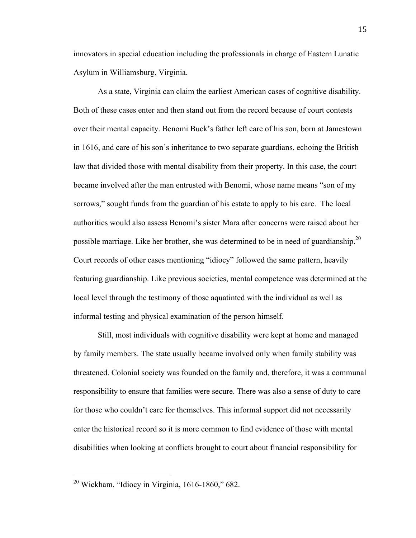innovators in special education including the professionals in charge of Eastern Lunatic Asylum in Williamsburg, Virginia.

As a state, Virginia can claim the earliest American cases of cognitive disability. Both of these cases enter and then stand out from the record because of court contests over their mental capacity. Benomi Buck's father left care of his son, born at Jamestown in 1616, and care of his son's inheritance to two separate guardians, echoing the British law that divided those with mental disability from their property. In this case, the court became involved after the man entrusted with Benomi, whose name means "son of my sorrows," sought funds from the guardian of his estate to apply to his care. The local authorities would also assess Benomi's sister Mara after concerns were raised about her possible marriage. Like her brother, she was determined to be in need of guardianship.<sup>20</sup> Court records of other cases mentioning "idiocy" followed the same pattern, heavily featuring guardianship. Like previous societies, mental competence was determined at the local level through the testimony of those aquatinted with the individual as well as informal testing and physical examination of the person himself.

Still, most individuals with cognitive disability were kept at home and managed by family members. The state usually became involved only when family stability was threatened. Colonial society was founded on the family and, therefore, it was a communal responsibility to ensure that families were secure. There was also a sense of duty to care for those who couldn't care for themselves. This informal support did not necessarily enter the historical record so it is more common to find evidence of those with mental disabilities when looking at conflicts brought to court about financial responsibility for

 20 Wickham, "Idiocy in Virginia, 1616-1860," 682.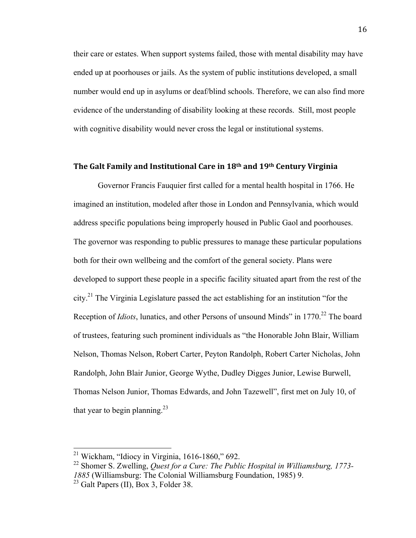their care or estates. When support systems failed, those with mental disability may have ended up at poorhouses or jails. As the system of public institutions developed, a small number would end up in asylums or deaf/blind schools. Therefore, we can also find more evidence of the understanding of disability looking at these records. Still, most people with cognitive disability would never cross the legal or institutional systems.

# The Galt Family and Institutional Care in 18<sup>th</sup> and 19<sup>th</sup> Century Virginia

Governor Francis Fauquier first called for a mental health hospital in 1766. He imagined an institution, modeled after those in London and Pennsylvania, which would address specific populations being improperly housed in Public Gaol and poorhouses. The governor was responding to public pressures to manage these particular populations both for their own wellbeing and the comfort of the general society. Plans were developed to support these people in a specific facility situated apart from the rest of the city.<sup>21</sup> The Virginia Legislature passed the act establishing for an institution "for the Reception of *Idiots*, lunatics, and other Persons of unsound Minds" in 1770.<sup>22</sup> The board of trustees, featuring such prominent individuals as "the Honorable John Blair, William Nelson, Thomas Nelson, Robert Carter, Peyton Randolph, Robert Carter Nicholas, John Randolph, John Blair Junior, George Wythe, Dudley Digges Junior, Lewise Burwell, Thomas Nelson Junior, Thomas Edwards, and John Tazewell", first met on July 10, of that year to begin planning.<sup>23</sup>

<sup>&</sup>lt;sup>21</sup> Wickham, "Idiocy in Virginia, 1616-1860," 692.<br><sup>22</sup> Shomer S. Zwelling, *Quest for a Cure: The Public Hospital in Williamsburg, 1773-1885* (Williamsburg: The Colonial Williamsburg Foundation, 1985) 9.

 $23$  Galt Papers (II), Box 3, Folder 38.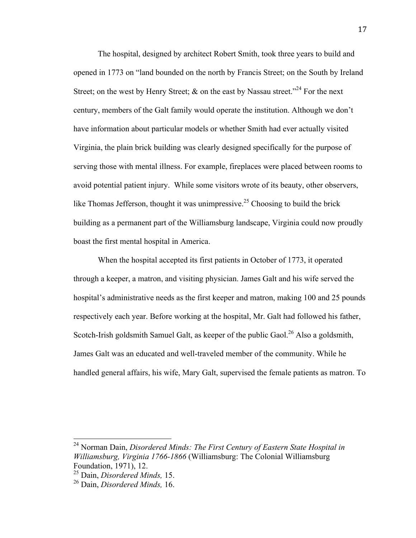The hospital, designed by architect Robert Smith, took three years to build and opened in 1773 on "land bounded on the north by Francis Street; on the South by Ireland Street; on the west by Henry Street;  $\&$  on the east by Nassau street."<sup>24</sup> For the next century, members of the Galt family would operate the institution. Although we don't have information about particular models or whether Smith had ever actually visited Virginia, the plain brick building was clearly designed specifically for the purpose of serving those with mental illness. For example, fireplaces were placed between rooms to avoid potential patient injury. While some visitors wrote of its beauty, other observers, like Thomas Jefferson, thought it was unimpressive.<sup>25</sup> Choosing to build the brick building as a permanent part of the Williamsburg landscape, Virginia could now proudly boast the first mental hospital in America.

When the hospital accepted its first patients in October of 1773, it operated through a keeper, a matron, and visiting physician. James Galt and his wife served the hospital's administrative needs as the first keeper and matron, making 100 and 25 pounds respectively each year. Before working at the hospital, Mr. Galt had followed his father, Scotch-Irish goldsmith Samuel Galt, as keeper of the public Gaol.<sup>26</sup> Also a goldsmith, James Galt was an educated and well-traveled member of the community. While he handled general affairs, his wife, Mary Galt, supervised the female patients as matron. To

 24 Norman Dain, *Disordered Minds: The First Century of Eastern State Hospital in Williamsburg, Virginia 1766-1866* (Williamsburg: The Colonial Williamsburg Foundation, 1971), 12.

<sup>25</sup> Dain, *Disordered Minds,* 15.

<sup>26</sup> Dain, *Disordered Minds,* 16.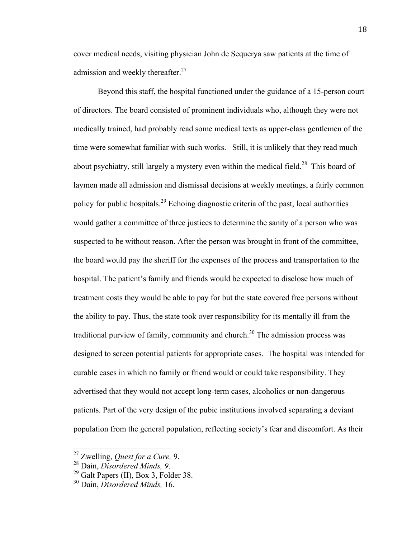cover medical needs, visiting physician John de Sequerya saw patients at the time of admission and weekly thereafter. $27$ 

Beyond this staff, the hospital functioned under the guidance of a 15-person court of directors. The board consisted of prominent individuals who, although they were not medically trained, had probably read some medical texts as upper-class gentlemen of the time were somewhat familiar with such works. Still, it is unlikely that they read much about psychiatry, still largely a mystery even within the medical field.<sup>28</sup> This board of laymen made all admission and dismissal decisions at weekly meetings, a fairly common policy for public hospitals.<sup>29</sup> Echoing diagnostic criteria of the past, local authorities would gather a committee of three justices to determine the sanity of a person who was suspected to be without reason. After the person was brought in front of the committee, the board would pay the sheriff for the expenses of the process and transportation to the hospital. The patient's family and friends would be expected to disclose how much of treatment costs they would be able to pay for but the state covered free persons without the ability to pay. Thus, the state took over responsibility for its mentally ill from the traditional purview of family, community and church.<sup>30</sup> The admission process was designed to screen potential patients for appropriate cases. The hospital was intended for curable cases in which no family or friend would or could take responsibility. They advertised that they would not accept long-term cases, alcoholics or non-dangerous patients. Part of the very design of the pubic institutions involved separating a deviant population from the general population, reflecting society's fear and discomfort. As their

 27 Zwelling, *Quest for a Cure,* 9.

<sup>28</sup> Dain, *Disordered Minds, 9*. 29 Galt Papers (II), Box 3, Folder 38. 30 Dain, *Disordered Minds,* 16.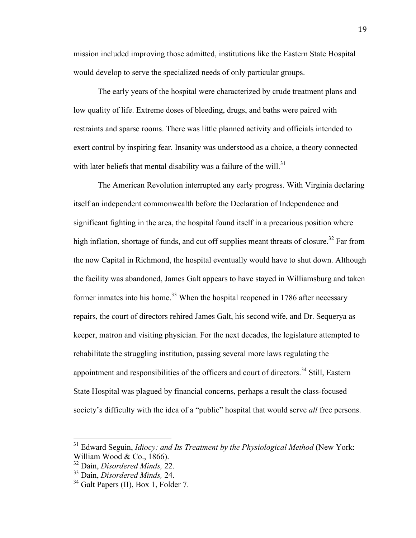mission included improving those admitted, institutions like the Eastern State Hospital would develop to serve the specialized needs of only particular groups.

The early years of the hospital were characterized by crude treatment plans and low quality of life. Extreme doses of bleeding, drugs, and baths were paired with restraints and sparse rooms. There was little planned activity and officials intended to exert control by inspiring fear. Insanity was understood as a choice, a theory connected with later beliefs that mental disability was a failure of the will.<sup>31</sup>

The American Revolution interrupted any early progress. With Virginia declaring itself an independent commonwealth before the Declaration of Independence and significant fighting in the area, the hospital found itself in a precarious position where high inflation, shortage of funds, and cut off supplies meant threats of closure.<sup>32</sup> Far from the now Capital in Richmond, the hospital eventually would have to shut down. Although the facility was abandoned, James Galt appears to have stayed in Williamsburg and taken former inmates into his home.<sup>33</sup> When the hospital reopened in 1786 after necessary repairs, the court of directors rehired James Galt, his second wife, and Dr. Sequerya as keeper, matron and visiting physician. For the next decades, the legislature attempted to rehabilitate the struggling institution, passing several more laws regulating the appointment and responsibilities of the officers and court of directors.<sup>34</sup> Still, Eastern State Hospital was plagued by financial concerns, perhaps a result the class-focused society's difficulty with the idea of a "public" hospital that would serve *all* free persons.

<sup>&</sup>lt;sup>31</sup> Edward Seguin, *Idiocy: and Its Treatment by the Physiological Method* (New York: William Wood & Co., 1866).

<sup>32</sup> Dain, *Disordered Minds,* 22.

<sup>33</sup> Dain, *Disordered Minds,* 24.

<sup>&</sup>lt;sup>34</sup> Galt Papers (II), Box 1, Folder 7.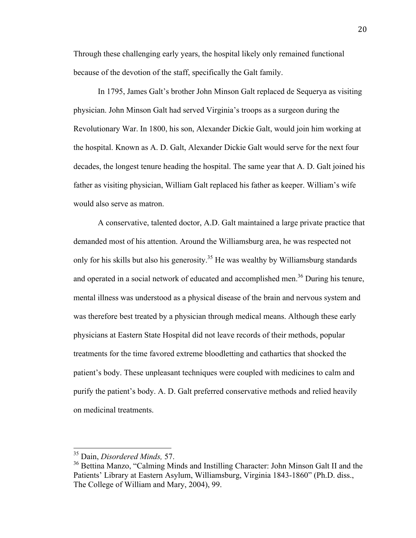Through these challenging early years, the hospital likely only remained functional because of the devotion of the staff, specifically the Galt family.

In 1795, James Galt's brother John Minson Galt replaced de Sequerya as visiting physician. John Minson Galt had served Virginia's troops as a surgeon during the Revolutionary War. In 1800, his son, Alexander Dickie Galt, would join him working at the hospital. Known as A. D. Galt, Alexander Dickie Galt would serve for the next four decades, the longest tenure heading the hospital. The same year that A. D. Galt joined his father as visiting physician, William Galt replaced his father as keeper. William's wife would also serve as matron.

A conservative, talented doctor, A.D. Galt maintained a large private practice that demanded most of his attention. Around the Williamsburg area, he was respected not only for his skills but also his generosity.<sup>35</sup> He was wealthy by Williamsburg standards and operated in a social network of educated and accomplished men.<sup>36</sup> During his tenure, mental illness was understood as a physical disease of the brain and nervous system and was therefore best treated by a physician through medical means. Although these early physicians at Eastern State Hospital did not leave records of their methods, popular treatments for the time favored extreme bloodletting and cathartics that shocked the patient's body. These unpleasant techniques were coupled with medicines to calm and purify the patient's body. A. D. Galt preferred conservative methods and relied heavily on medicinal treatments.

 35 Dain, *Disordered Minds,* 57.

<sup>&</sup>lt;sup>36</sup> Bettina Manzo, "Calming Minds and Instilling Character: John Minson Galt II and the Patients' Library at Eastern Asylum, Williamsburg, Virginia 1843-1860" (Ph.D. diss., The College of William and Mary, 2004), 99.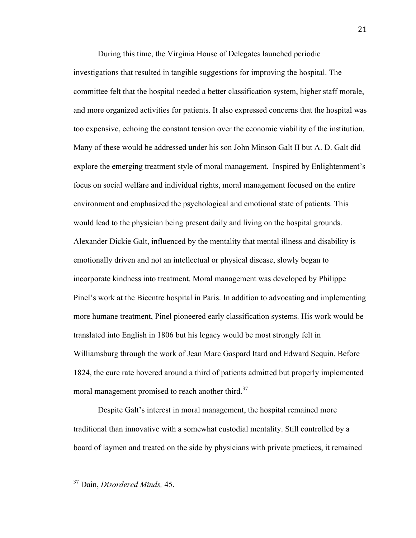During this time, the Virginia House of Delegates launched periodic investigations that resulted in tangible suggestions for improving the hospital. The committee felt that the hospital needed a better classification system, higher staff morale, and more organized activities for patients. It also expressed concerns that the hospital was too expensive, echoing the constant tension over the economic viability of the institution. Many of these would be addressed under his son John Minson Galt II but A. D. Galt did explore the emerging treatment style of moral management. Inspired by Enlightenment's focus on social welfare and individual rights, moral management focused on the entire environment and emphasized the psychological and emotional state of patients. This would lead to the physician being present daily and living on the hospital grounds. Alexander Dickie Galt, influenced by the mentality that mental illness and disability is emotionally driven and not an intellectual or physical disease, slowly began to incorporate kindness into treatment. Moral management was developed by Philippe Pinel's work at the Bicentre hospital in Paris. In addition to advocating and implementing more humane treatment, Pinel pioneered early classification systems. His work would be translated into English in 1806 but his legacy would be most strongly felt in Williamsburg through the work of Jean Marc Gaspard Itard and Edward Sequin. Before 1824, the cure rate hovered around a third of patients admitted but properly implemented moral management promised to reach another third.<sup>37</sup>

Despite Galt's interest in moral management, the hospital remained more traditional than innovative with a somewhat custodial mentality. Still controlled by a board of laymen and treated on the side by physicians with private practices, it remained

 37 Dain, *Disordered Minds,* 45.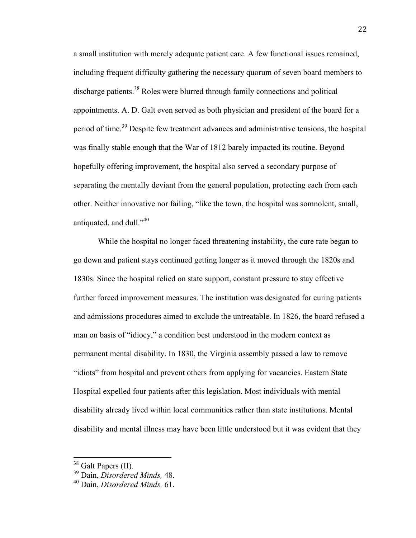a small institution with merely adequate patient care. A few functional issues remained, including frequent difficulty gathering the necessary quorum of seven board members to discharge patients.<sup>38</sup> Roles were blurred through family connections and political appointments. A. D. Galt even served as both physician and president of the board for a period of time.<sup>39</sup> Despite few treatment advances and administrative tensions, the hospital was finally stable enough that the War of 1812 barely impacted its routine. Beyond hopefully offering improvement, the hospital also served a secondary purpose of separating the mentally deviant from the general population, protecting each from each other. Neither innovative nor failing, "like the town, the hospital was somnolent, small, antiquated, and dull." $40$ 

While the hospital no longer faced threatening instability, the cure rate began to go down and patient stays continued getting longer as it moved through the 1820s and 1830s. Since the hospital relied on state support, constant pressure to stay effective further forced improvement measures. The institution was designated for curing patients and admissions procedures aimed to exclude the untreatable. In 1826, the board refused a man on basis of "idiocy," a condition best understood in the modern context as permanent mental disability. In 1830, the Virginia assembly passed a law to remove "idiots" from hospital and prevent others from applying for vacancies. Eastern State Hospital expelled four patients after this legislation. Most individuals with mental disability already lived within local communities rather than state institutions. Mental disability and mental illness may have been little understood but it was evident that they

 38 Galt Papers (II). 39 Dain, *Disordered Minds,* 48.

<sup>40</sup> Dain, *Disordered Minds,* 61.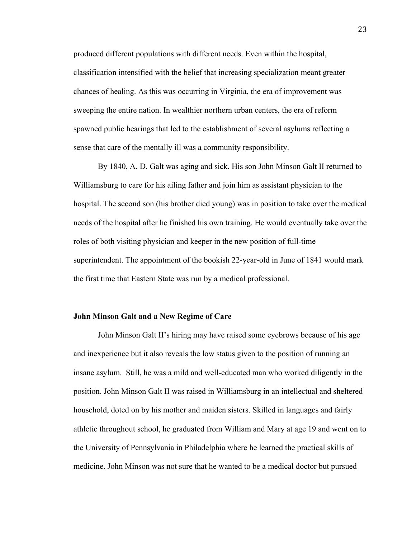produced different populations with different needs. Even within the hospital, classification intensified with the belief that increasing specialization meant greater chances of healing. As this was occurring in Virginia, the era of improvement was sweeping the entire nation. In wealthier northern urban centers, the era of reform spawned public hearings that led to the establishment of several asylums reflecting a sense that care of the mentally ill was a community responsibility.

By 1840, A. D. Galt was aging and sick. His son John Minson Galt II returned to Williamsburg to care for his ailing father and join him as assistant physician to the hospital. The second son (his brother died young) was in position to take over the medical needs of the hospital after he finished his own training. He would eventually take over the roles of both visiting physician and keeper in the new position of full-time superintendent. The appointment of the bookish 22-year-old in June of 1841 would mark the first time that Eastern State was run by a medical professional.

#### **John Minson Galt and a New Regime of Care**

John Minson Galt II's hiring may have raised some eyebrows because of his age and inexperience but it also reveals the low status given to the position of running an insane asylum. Still, he was a mild and well-educated man who worked diligently in the position. John Minson Galt II was raised in Williamsburg in an intellectual and sheltered household, doted on by his mother and maiden sisters. Skilled in languages and fairly athletic throughout school, he graduated from William and Mary at age 19 and went on to the University of Pennsylvania in Philadelphia where he learned the practical skills of medicine. John Minson was not sure that he wanted to be a medical doctor but pursued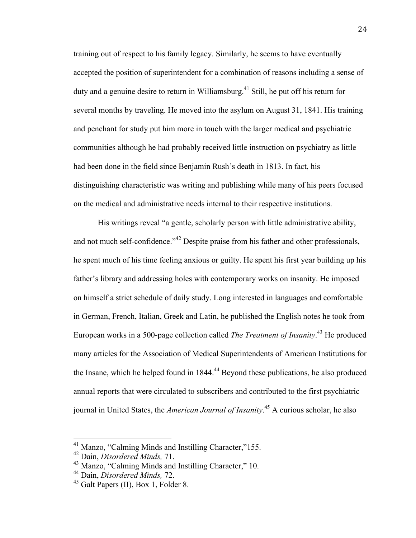training out of respect to his family legacy. Similarly, he seems to have eventually accepted the position of superintendent for a combination of reasons including a sense of duty and a genuine desire to return in Williamsburg.<sup>41</sup> Still, he put off his return for several months by traveling. He moved into the asylum on August 31, 1841. His training and penchant for study put him more in touch with the larger medical and psychiatric communities although he had probably received little instruction on psychiatry as little had been done in the field since Benjamin Rush's death in 1813. In fact, his distinguishing characteristic was writing and publishing while many of his peers focused on the medical and administrative needs internal to their respective institutions.

His writings reveal "a gentle, scholarly person with little administrative ability, and not much self-confidence."<sup>42</sup> Despite praise from his father and other professionals, he spent much of his time feeling anxious or guilty. He spent his first year building up his father's library and addressing holes with contemporary works on insanity. He imposed on himself a strict schedule of daily study. Long interested in languages and comfortable in German, French, Italian, Greek and Latin, he published the English notes he took from European works in a 500-page collection called *The Treatment of Insanity*. 43 He produced many articles for the Association of Medical Superintendents of American Institutions for the Insane, which he helped found in 1844.<sup>44</sup> Beyond these publications, he also produced annual reports that were circulated to subscribers and contributed to the first psychiatric journal in United States, the *American Journal of Insanity*. 45 A curious scholar, he also

 41 Manzo, "Calming Minds and Instilling Character,"155.

<sup>42</sup> Dain, *Disordered Minds,* 71.

<sup>&</sup>lt;sup>43</sup> Manzo, "Calming Minds and Instilling Character," 10.

<sup>44</sup> Dain, *Disordered Minds,* 72.

<sup>45</sup> Galt Papers (II), Box 1, Folder 8.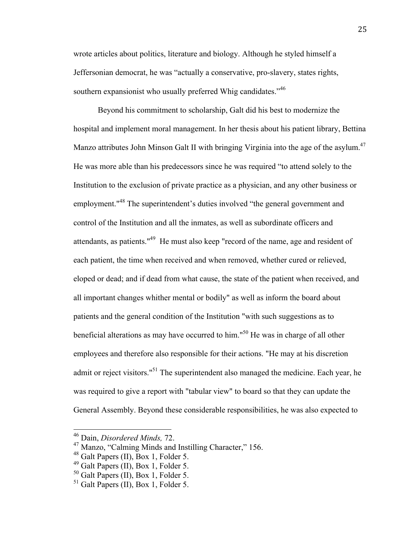wrote articles about politics, literature and biology. Although he styled himself a Jeffersonian democrat, he was "actually a conservative, pro-slavery, states rights, southern expansionist who usually preferred Whig candidates.<sup>346</sup>

Beyond his commitment to scholarship, Galt did his best to modernize the hospital and implement moral management. In her thesis about his patient library, Bettina Manzo attributes John Minson Galt II with bringing Virginia into the age of the asylum.<sup>47</sup> He was more able than his predecessors since he was required "to attend solely to the Institution to the exclusion of private practice as a physician, and any other business or employment."<sup>48</sup> The superintendent's duties involved "the general government and control of the Institution and all the inmates, as well as subordinate officers and attendants, as patients."<sup>49</sup> He must also keep "record of the name, age and resident of each patient, the time when received and when removed, whether cured or relieved, eloped or dead; and if dead from what cause, the state of the patient when received, and all important changes whither mental or bodily" as well as inform the board about patients and the general condition of the Institution "with such suggestions as to beneficial alterations as may have occurred to him."<sup>50</sup> He was in charge of all other employees and therefore also responsible for their actions. "He may at his discretion admit or reject visitors."<sup>51</sup> The superintendent also managed the medicine. Each year, he was required to give a report with "tabular view" to board so that they can update the General Assembly. Beyond these considerable responsibilities, he was also expected to

 46 Dain, *Disordered Minds,* 72.

<sup>&</sup>lt;sup>47</sup> Manzo, "Calming Minds and Instilling Character," 156.<br><sup>48</sup> Galt Papers (II), Box 1, Folder 5.

<sup>&</sup>lt;sup>49</sup> Galt Papers (II), Box 1, Folder 5.<br><sup>50</sup> Galt Papers (II), Box 1, Folder 5.<br><sup>51</sup> Galt Papers (II), Box 1, Folder 5.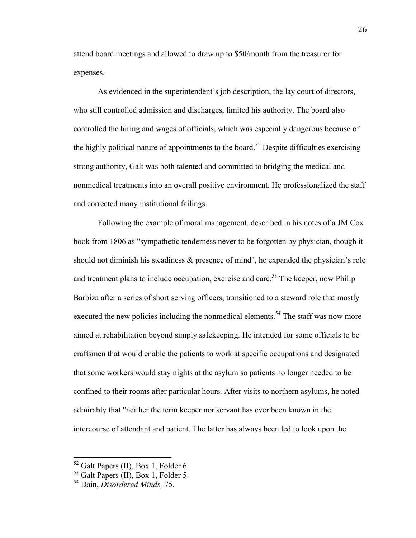attend board meetings and allowed to draw up to \$50/month from the treasurer for expenses.

As evidenced in the superintendent's job description, the lay court of directors, who still controlled admission and discharges, limited his authority. The board also controlled the hiring and wages of officials, which was especially dangerous because of the highly political nature of appointments to the board.<sup>52</sup> Despite difficulties exercising strong authority, Galt was both talented and committed to bridging the medical and nonmedical treatments into an overall positive environment. He professionalized the staff and corrected many institutional failings.

Following the example of moral management, described in his notes of a JM Cox book from 1806 as "sympathetic tenderness never to be forgotten by physician, though it should not diminish his steadiness & presence of mind", he expanded the physician's role and treatment plans to include occupation, exercise and care.<sup>53</sup> The keeper, now Philip Barbiza after a series of short serving officers, transitioned to a steward role that mostly executed the new policies including the nonmedical elements.<sup>54</sup> The staff was now more aimed at rehabilitation beyond simply safekeeping. He intended for some officials to be craftsmen that would enable the patients to work at specific occupations and designated that some workers would stay nights at the asylum so patients no longer needed to be confined to their rooms after particular hours. After visits to northern asylums, he noted admirably that "neither the term keeper nor servant has ever been known in the intercourse of attendant and patient. The latter has always been led to look upon the

 52 Galt Papers (II), Box 1, Folder 6. 53 Galt Papers (II), Box 1, Folder 5. 54 Dain, *Disordered Minds,* 75.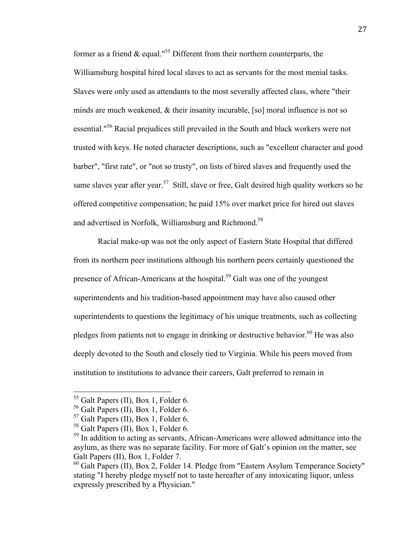former as a friend  $\&$  equal."<sup>55</sup> Different from their northern counterparts, the Williamsburg hospital hired local slaves to act as servants for the most menial tasks. Slaves were only used as attendants to the most severally affected class, where "their minds are much weakened, & their insanity incurable, [so] moral influence is not so essential."56 Racial prejudices still prevailed in the South and black workers were not trusted with keys. He noted character descriptions, such as "excellent character and good barber", "first rate", or "not so trusty", on lists of hired slaves and frequently used the same slaves year after year.<sup>57</sup> Still, slave or free, Galt desired high quality workers so he offered competitive compensation; he paid 15% over market price for hired out slaves and advertised in Norfolk, Williamsburg and Richmond.<sup>58</sup>

Racial make-up was not the only aspect of Eastern State Hospital that differed from its northern peer institutions although his northern peers certainly questioned the presence of African-Americans at the hospital.<sup>59</sup> Galt was one of the youngest superintendents and his tradition-based appointment may have also caused other superintendents to questions the legitimacy of his unique treatments, such as collecting pledges from patients not to engage in drinking or destructive behavior.<sup>60</sup> He was also deeply devoted to the South and closely tied to Virginia. While his peers moved from institution to institutions to advance their careers, Galt preferred to remain in

<sup>&</sup>lt;sup>55</sup> Galt Papers (II), Box 1, Folder 6.<br><sup>56</sup> Galt Papers (II), Box 1, Folder 6.<br><sup>57</sup> Galt Papers (II), Box 1, Folder 6.<br><sup>58</sup> Galt Papers (II), Box 1, Folder 6.<br><sup>59</sup> In addition to acting as servants, African-Americans wer asylum, as there was no separate facility. For more of Galt's opinion on the matter, see Galt Papers (II), Box 1, Folder 7.

 $^{60}$  Galt Papers (II), Box 2, Folder 14. Pledge from "Eastern Asylum Temperance Society" stating "I hereby pledge myself not to taste hereafter of any intoxicating liquor, unless expressly prescribed by a Physician."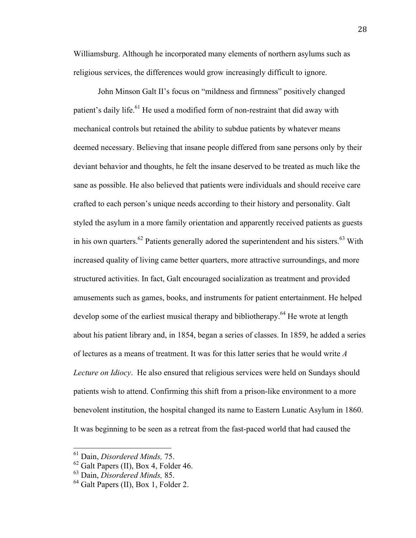Williamsburg. Although he incorporated many elements of northern asylums such as religious services, the differences would grow increasingly difficult to ignore.

John Minson Galt II's focus on "mildness and firmness" positively changed patient's daily life.<sup>61</sup> He used a modified form of non-restraint that did away with mechanical controls but retained the ability to subdue patients by whatever means deemed necessary. Believing that insane people differed from sane persons only by their deviant behavior and thoughts, he felt the insane deserved to be treated as much like the sane as possible. He also believed that patients were individuals and should receive care crafted to each person's unique needs according to their history and personality. Galt styled the asylum in a more family orientation and apparently received patients as guests in his own quarters.<sup>62</sup> Patients generally adored the superintendent and his sisters.<sup>63</sup> With increased quality of living came better quarters, more attractive surroundings, and more structured activities. In fact, Galt encouraged socialization as treatment and provided amusements such as games, books, and instruments for patient entertainment. He helped develop some of the earliest musical therapy and bibliotherapy.<sup>64</sup> He wrote at length about his patient library and, in 1854, began a series of classes. In 1859, he added a series of lectures as a means of treatment. It was for this latter series that he would write *A Lecture on Idiocy*. He also ensured that religious services were held on Sundays should patients wish to attend. Confirming this shift from a prison-like environment to a more benevolent institution, the hospital changed its name to Eastern Lunatic Asylum in 1860. It was beginning to be seen as a retreat from the fast-paced world that had caused the

 61 Dain, *Disordered Minds,* 75.

<sup>62</sup> Galt Papers (II), Box 4, Folder 46. 63 Dain, *Disordered Minds,* 85.

<sup>&</sup>lt;sup>64</sup> Galt Papers (II), Box 1, Folder 2.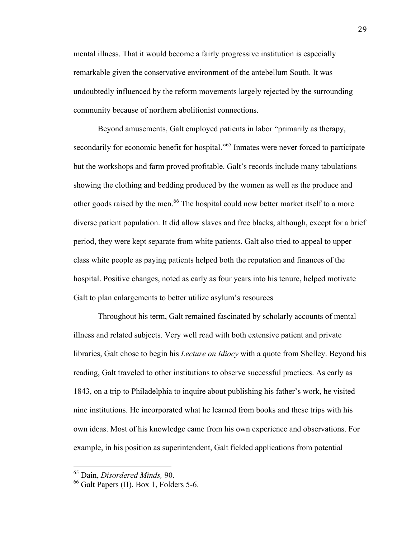mental illness. That it would become a fairly progressive institution is especially remarkable given the conservative environment of the antebellum South. It was undoubtedly influenced by the reform movements largely rejected by the surrounding community because of northern abolitionist connections.

Beyond amusements, Galt employed patients in labor "primarily as therapy, secondarily for economic benefit for hospital."<sup>65</sup> Inmates were never forced to participate but the workshops and farm proved profitable. Galt's records include many tabulations showing the clothing and bedding produced by the women as well as the produce and other goods raised by the men.<sup>66</sup> The hospital could now better market itself to a more diverse patient population. It did allow slaves and free blacks, although, except for a brief period, they were kept separate from white patients. Galt also tried to appeal to upper class white people as paying patients helped both the reputation and finances of the hospital. Positive changes, noted as early as four years into his tenure, helped motivate Galt to plan enlargements to better utilize asylum's resources

Throughout his term, Galt remained fascinated by scholarly accounts of mental illness and related subjects. Very well read with both extensive patient and private libraries, Galt chose to begin his *Lecture on Idiocy* with a quote from Shelley. Beyond his reading, Galt traveled to other institutions to observe successful practices. As early as 1843, on a trip to Philadelphia to inquire about publishing his father's work, he visited nine institutions. He incorporated what he learned from books and these trips with his own ideas. Most of his knowledge came from his own experience and observations. For example, in his position as superintendent, Galt fielded applications from potential

 65 Dain, *Disordered Minds,* 90.

<sup>66</sup> Galt Papers (II), Box 1, Folders 5-6.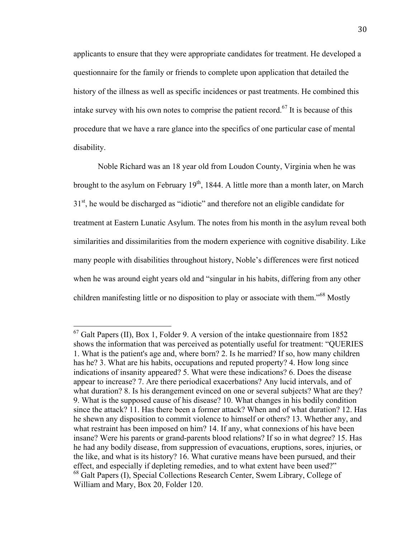applicants to ensure that they were appropriate candidates for treatment. He developed a questionnaire for the family or friends to complete upon application that detailed the history of the illness as well as specific incidences or past treatments. He combined this intake survey with his own notes to comprise the patient record.<sup> $67$ </sup> It is because of this procedure that we have a rare glance into the specifics of one particular case of mental disability.

Noble Richard was an 18 year old from Loudon County, Virginia when he was brought to the asylum on February  $19<sup>th</sup>$ , 1844. A little more than a month later, on March  $31<sup>st</sup>$ , he would be discharged as "idiotic" and therefore not an eligible candidate for treatment at Eastern Lunatic Asylum. The notes from his month in the asylum reveal both similarities and dissimilarities from the modern experience with cognitive disability. Like many people with disabilities throughout history, Noble's differences were first noticed when he was around eight years old and "singular in his habits, differing from any other children manifesting little or no disposition to play or associate with them."<sup>68</sup> Mostly

 $67$  Galt Papers (II), Box 1, Folder 9. A version of the intake questionnaire from 1852 shows the information that was perceived as potentially useful for treatment: "QUERIES 1. What is the patient's age and, where born? 2. Is he married? If so, how many children has he? 3. What are his habits, occupations and reputed property? 4. How long since indications of insanity appeared? 5. What were these indications? 6. Does the disease appear to increase? 7. Are there periodical exacerbations? Any lucid intervals, and of what duration? 8. Is his derangement evinced on one or several subjects? What are they? 9. What is the supposed cause of his disease? 10. What changes in his bodily condition since the attack? 11. Has there been a former attack? When and of what duration? 12. Has he shewn any disposition to commit violence to himself or others? 13. Whether any, and what restraint has been imposed on him? 14. If any, what connexions of his have been insane? Were his parents or grand-parents blood relations? If so in what degree? 15. Has he had any bodily disease, from suppression of evacuations, eruptions, sores, injuries, or the like, and what is its history? 16. What curative means have been pursued, and their effect, and especially if depleting remedies, and to what extent have been used?" <sup>68</sup> Galt Papers (I), Special Collections Research Center, Swem Library, College of William and Mary, Box 20, Folder 120.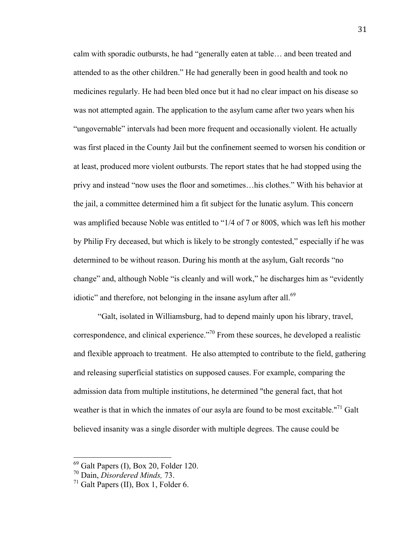calm with sporadic outbursts, he had "generally eaten at table… and been treated and attended to as the other children." He had generally been in good health and took no medicines regularly. He had been bled once but it had no clear impact on his disease so was not attempted again. The application to the asylum came after two years when his "ungovernable" intervals had been more frequent and occasionally violent. He actually was first placed in the County Jail but the confinement seemed to worsen his condition or at least, produced more violent outbursts. The report states that he had stopped using the privy and instead "now uses the floor and sometimes…his clothes." With his behavior at the jail, a committee determined him a fit subject for the lunatic asylum. This concern was amplified because Noble was entitled to "1/4 of 7 or 800\$, which was left his mother by Philip Fry deceased, but which is likely to be strongly contested," especially if he was determined to be without reason. During his month at the asylum, Galt records "no change" and, although Noble "is cleanly and will work," he discharges him as "evidently idiotic" and therefore, not belonging in the insane asylum after all. $69$ 

"Galt, isolated in Williamsburg, had to depend mainly upon his library, travel, correspondence, and clinical experience."70 From these sources, he developed a realistic and flexible approach to treatment. He also attempted to contribute to the field, gathering and releasing superficial statistics on supposed causes. For example, comparing the admission data from multiple institutions, he determined "the general fact, that hot weather is that in which the inmates of our asyla are found to be most excitable."<sup>71</sup> Galt believed insanity was a single disorder with multiple degrees. The cause could be

 <sup>69</sup> Galt Papers (I), Box 20, Folder 120. 70 Dain, *Disordered Minds,* 73.

<sup>71</sup> Galt Papers (II), Box 1, Folder 6.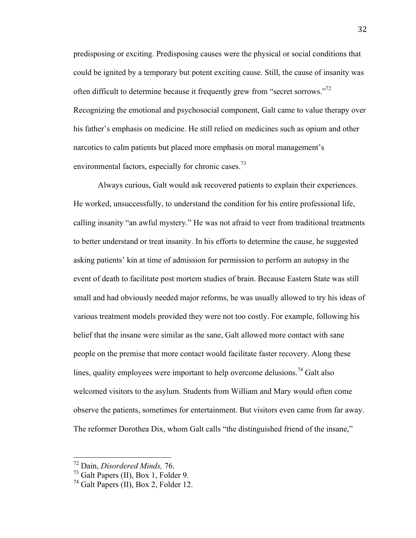predisposing or exciting. Predisposing causes were the physical or social conditions that could be ignited by a temporary but potent exciting cause. Still, the cause of insanity was often difficult to determine because it frequently grew from "secret sorrows."<sup>72</sup> Recognizing the emotional and psychosocial component, Galt came to value therapy over his father's emphasis on medicine. He still relied on medicines such as opium and other narcotics to calm patients but placed more emphasis on moral management's environmental factors, especially for chronic cases.<sup>73</sup>

Always curious, Galt would ask recovered patients to explain their experiences. He worked, unsuccessfully, to understand the condition for his entire professional life, calling insanity "an awful mystery." He was not afraid to veer from traditional treatments to better understand or treat insanity. In his efforts to determine the cause, he suggested asking patients' kin at time of admission for permission to perform an autopsy in the event of death to facilitate post mortem studies of brain. Because Eastern State was still small and had obviously needed major reforms, he was usually allowed to try his ideas of various treatment models provided they were not too costly. For example, following his belief that the insane were similar as the sane, Galt allowed more contact with sane people on the premise that more contact would facilitate faster recovery. Along these lines, quality employees were important to help overcome delusions.<sup>74</sup> Galt also welcomed visitors to the asylum. Students from William and Mary would often come observe the patients, sometimes for entertainment. But visitors even came from far away. The reformer Dorothea Dix, whom Galt calls "the distinguished friend of the insane,"

<sup>&</sup>lt;sup>72</sup> Dain, *Disordered Minds*, 76.<br><sup>73</sup> Galt Papers (II), Box 1, Folder 9.

 $74$  Galt Papers (II), Box 2, Folder 12.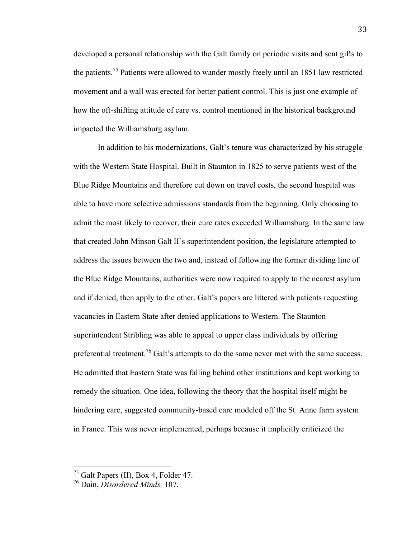developed a personal relationship with the Galt family on periodic visits and sent gifts to the patients.<sup>75</sup> Patients were allowed to wander mostly freely until an 1851 law restricted movement and a wall was erected for better patient control. This is just one example of how the oft-shifting attitude of care vs. control mentioned in the historical background impacted the Williamsburg asylum.

In addition to his modernizations, Galt's tenure was characterized by his struggle with the Western State Hospital. Built in Staunton in 1825 to serve patients west of the Blue Ridge Mountains and therefore cut down on travel costs, the second hospital was able to have more selective admissions standards from the beginning. Only choosing to admit the most likely to recover, their cure rates exceeded Williamsburg. In the same law that created John Minson Galt II's superintendent position, the legislature attempted to address the issues between the two and, instead of following the former dividing line of the Blue Ridge Mountains, authorities were now required to apply to the nearest asylum and if denied, then apply to the other. Galt's papers are littered with patients requesting vacancies in Eastern State after denied applications to Western. The Staunton superintendent Stribling was able to appeal to upper class individuals by offering preferential treatment.<sup>76</sup> Galt's attempts to do the same never met with the same success. He admitted that Eastern State was falling behind other institutions and kept working to remedy the situation. One idea, following the theory that the hospital itself might be hindering care, suggested community-based care modeled off the St. Anne farm system in France. This was never implemented, perhaps because it implicitly criticized the

 <sup>75</sup> Galt Papers (II), Box 4, Folder 47. 76 Dain, *Disordered Minds,* 107.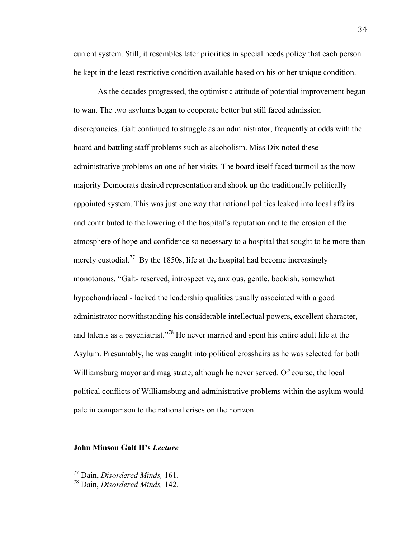current system. Still, it resembles later priorities in special needs policy that each person be kept in the least restrictive condition available based on his or her unique condition.

As the decades progressed, the optimistic attitude of potential improvement began to wan. The two asylums began to cooperate better but still faced admission discrepancies. Galt continued to struggle as an administrator, frequently at odds with the board and battling staff problems such as alcoholism. Miss Dix noted these administrative problems on one of her visits. The board itself faced turmoil as the nowmajority Democrats desired representation and shook up the traditionally politically appointed system. This was just one way that national politics leaked into local affairs and contributed to the lowering of the hospital's reputation and to the erosion of the atmosphere of hope and confidence so necessary to a hospital that sought to be more than merely custodial.<sup>77</sup> By the 1850s, life at the hospital had become increasingly monotonous. "Galt- reserved, introspective, anxious, gentle, bookish, somewhat hypochondriacal - lacked the leadership qualities usually associated with a good administrator notwithstanding his considerable intellectual powers, excellent character, and talents as a psychiatrist."<sup>78</sup> He never married and spent his entire adult life at the Asylum. Presumably, he was caught into political crosshairs as he was selected for both Williamsburg mayor and magistrate, although he never served. Of course, the local political conflicts of Williamsburg and administrative problems within the asylum would pale in comparison to the national crises on the horizon.

#### **John Minson Galt II's** *Lecture*

 77 Dain, *Disordered Minds,* 161.

<sup>78</sup> Dain, *Disordered Minds,* 142.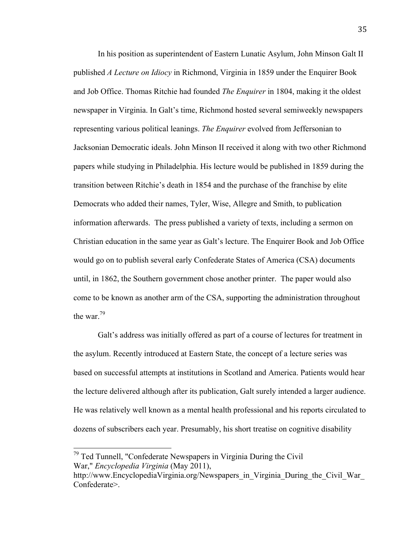In his position as superintendent of Eastern Lunatic Asylum, John Minson Galt II published *A Lecture on Idiocy* in Richmond, Virginia in 1859 under the Enquirer Book and Job Office. Thomas Ritchie had founded *The Enquirer* in 1804, making it the oldest newspaper in Virginia. In Galt's time, Richmond hosted several semiweekly newspapers representing various political leanings. *The Enquirer* evolved from Jeffersonian to Jacksonian Democratic ideals. John Minson II received it along with two other Richmond papers while studying in Philadelphia. His lecture would be published in 1859 during the transition between Ritchie's death in 1854 and the purchase of the franchise by elite Democrats who added their names, Tyler, Wise, Allegre and Smith, to publication information afterwards. The press published a variety of texts, including a sermon on Christian education in the same year as Galt's lecture. The Enquirer Book and Job Office would go on to publish several early Confederate States of America (CSA) documents until, in 1862, the Southern government chose another printer. The paper would also come to be known as another arm of the CSA, supporting the administration throughout the war<sup>79</sup>

Galt's address was initially offered as part of a course of lectures for treatment in the asylum. Recently introduced at Eastern State, the concept of a lecture series was based on successful attempts at institutions in Scotland and America. Patients would hear the lecture delivered although after its publication, Galt surely intended a larger audience. He was relatively well known as a mental health professional and his reports circulated to dozens of subscribers each year. Presumably, his short treatise on cognitive disability

 $79$  Ted Tunnell, "Confederate Newspapers in Virginia During the Civil War," *Encyclopedia Virginia* (May 2011),

http://www.EncyclopediaVirginia.org/Newspapers in Virginia During the Civil War Confederate>.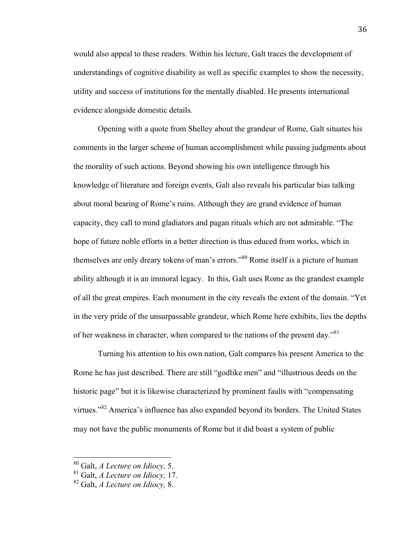would also appeal to these readers. Within his lecture, Galt traces the development of understandings of cognitive disability as well as specific examples to show the necessity, utility and success of institutions for the mentally disabled. He presents international evidence alongside domestic details.

Opening with a quote from Shelley about the grandeur of Rome, Galt situates his comments in the larger scheme of human accomplishment while passing judgments about the morality of such actions. Beyond showing his own intelligence through his knowledge of literature and foreign events, Galt also reveals his particular bias talking about moral bearing of Rome's ruins. Although they are grand evidence of human capacity, they call to mind gladiators and pagan rituals which are not admirable. "The hope of future noble efforts in a better direction is thus educed from works, which in themselves are only dreary tokens of man's errors."<sup>80</sup> Rome itself is a picture of human ability although it is an immoral legacy. In this, Galt uses Rome as the grandest example of all the great empires. Each monument in the city reveals the extent of the domain. "Yet in the very pride of the unsurpassable grandeur, which Rome here exhibits, lies the depths of her weakness in character, when compared to the nations of the present day."<sup>81</sup>

Turning his attention to his own nation, Galt compares his present America to the Rome he has just described. There are still "godlike men" and "illustrious deeds on the historic page" but it is likewise characterized by prominent faults with "compensating virtues."82 America's influence has also expanded beyond its borders. The United States may not have the public monuments of Rome but it did boast a system of public

 80 Galt, *A Lecture on Idiocy,* 5.

<sup>81</sup> Galt, *A Lecture on Idiocy,* 17.

<sup>82</sup> Galt, *A Lecture on Idiocy,* 8.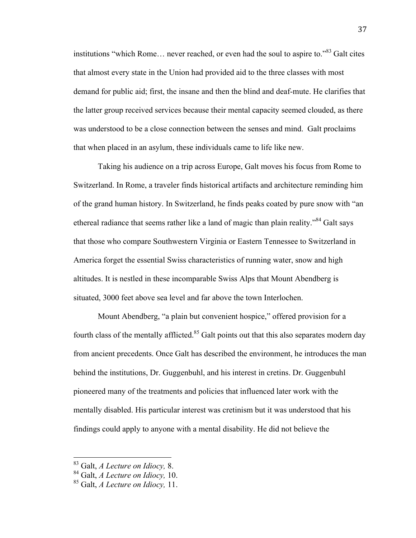institutions "which Rome… never reached, or even had the soul to aspire to."83 Galt cites that almost every state in the Union had provided aid to the three classes with most demand for public aid; first, the insane and then the blind and deaf-mute. He clarifies that the latter group received services because their mental capacity seemed clouded, as there was understood to be a close connection between the senses and mind. Galt proclaims that when placed in an asylum, these individuals came to life like new.

Taking his audience on a trip across Europe, Galt moves his focus from Rome to Switzerland. In Rome, a traveler finds historical artifacts and architecture reminding him of the grand human history. In Switzerland, he finds peaks coated by pure snow with "an ethereal radiance that seems rather like a land of magic than plain reality."84 Galt says that those who compare Southwestern Virginia or Eastern Tennessee to Switzerland in America forget the essential Swiss characteristics of running water, snow and high altitudes. It is nestled in these incomparable Swiss Alps that Mount Abendberg is situated, 3000 feet above sea level and far above the town Interlochen.

Mount Abendberg, "a plain but convenient hospice," offered provision for a fourth class of the mentally afflicted.<sup>85</sup> Galt points out that this also separates modern day from ancient precedents. Once Galt has described the environment, he introduces the man behind the institutions, Dr. Guggenbuhl, and his interest in cretins. Dr. Guggenbuhl pioneered many of the treatments and policies that influenced later work with the mentally disabled. His particular interest was cretinism but it was understood that his findings could apply to anyone with a mental disability. He did not believe the

 83 Galt, *A Lecture on Idiocy,* 8.

<sup>84</sup> Galt, *A Lecture on Idiocy,* 10.

<sup>85</sup> Galt, *A Lecture on Idiocy,* 11.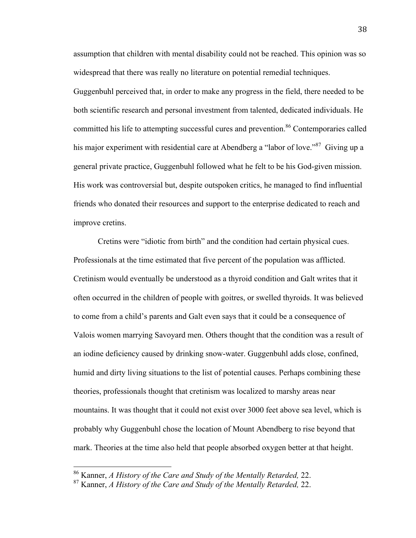assumption that children with mental disability could not be reached. This opinion was so widespread that there was really no literature on potential remedial techniques.

Guggenbuhl perceived that, in order to make any progress in the field, there needed to be both scientific research and personal investment from talented, dedicated individuals. He committed his life to attempting successful cures and prevention.<sup>86</sup> Contemporaries called his major experiment with residential care at Abendberg a "labor of love."<sup>87</sup> Giving up a general private practice, Guggenbuhl followed what he felt to be his God-given mission. His work was controversial but, despite outspoken critics, he managed to find influential friends who donated their resources and support to the enterprise dedicated to reach and improve cretins.

Cretins were "idiotic from birth" and the condition had certain physical cues. Professionals at the time estimated that five percent of the population was afflicted. Cretinism would eventually be understood as a thyroid condition and Galt writes that it often occurred in the children of people with goitres, or swelled thyroids. It was believed to come from a child's parents and Galt even says that it could be a consequence of Valois women marrying Savoyard men. Others thought that the condition was a result of an iodine deficiency caused by drinking snow-water. Guggenbuhl adds close, confined, humid and dirty living situations to the list of potential causes. Perhaps combining these theories, professionals thought that cretinism was localized to marshy areas near mountains. It was thought that it could not exist over 3000 feet above sea level, which is probably why Guggenbuhl chose the location of Mount Abendberg to rise beyond that mark. Theories at the time also held that people absorbed oxygen better at that height.

 86 Kanner, *A History of the Care and Study of the Mentally Retarded,* 22.

<sup>87</sup> Kanner, *A History of the Care and Study of the Mentally Retarded,* 22.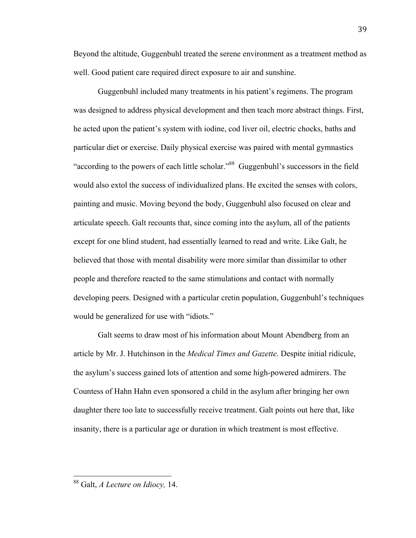Beyond the altitude, Guggenbuhl treated the serene environment as a treatment method as well. Good patient care required direct exposure to air and sunshine.

Guggenbuhl included many treatments in his patient's regimens. The program was designed to address physical development and then teach more abstract things. First, he acted upon the patient's system with iodine, cod liver oil, electric chocks, baths and particular diet or exercise. Daily physical exercise was paired with mental gymnastics "according to the powers of each little scholar."88 Guggenbuhl's successors in the field would also extol the success of individualized plans. He excited the senses with colors, painting and music. Moving beyond the body, Guggenbuhl also focused on clear and articulate speech. Galt recounts that, since coming into the asylum, all of the patients except for one blind student, had essentially learned to read and write. Like Galt, he believed that those with mental disability were more similar than dissimilar to other people and therefore reacted to the same stimulations and contact with normally developing peers. Designed with a particular cretin population, Guggenbuhl's techniques would be generalized for use with "idiots."

Galt seems to draw most of his information about Mount Abendberg from an article by Mr. J. Hutchinson in the *Medical Times and Gazette*. Despite initial ridicule, the asylum's success gained lots of attention and some high-powered admirers. The Countess of Hahn Hahn even sponsored a child in the asylum after bringing her own daughter there too late to successfully receive treatment. Galt points out here that, like insanity, there is a particular age or duration in which treatment is most effective.

 88 Galt, *A Lecture on Idiocy,* 14.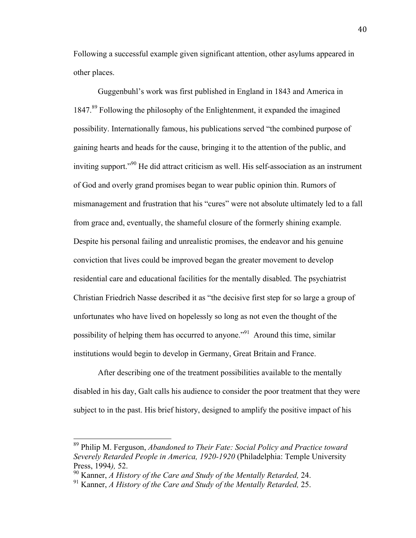Following a successful example given significant attention, other asylums appeared in other places.

Guggenbuhl's work was first published in England in 1843 and America in 1847.89 Following the philosophy of the Enlightenment, it expanded the imagined possibility. Internationally famous, his publications served "the combined purpose of gaining hearts and heads for the cause, bringing it to the attention of the public, and inviting support."<sup>90</sup> He did attract criticism as well. His self-association as an instrument of God and overly grand promises began to wear public opinion thin. Rumors of mismanagement and frustration that his "cures" were not absolute ultimately led to a fall from grace and, eventually, the shameful closure of the formerly shining example. Despite his personal failing and unrealistic promises, the endeavor and his genuine conviction that lives could be improved began the greater movement to develop residential care and educational facilities for the mentally disabled. The psychiatrist Christian Friedrich Nasse described it as "the decisive first step for so large a group of unfortunates who have lived on hopelessly so long as not even the thought of the possibility of helping them has occurred to anyone."91 Around this time, similar institutions would begin to develop in Germany, Great Britain and France.

After describing one of the treatment possibilities available to the mentally disabled in his day, Galt calls his audience to consider the poor treatment that they were subject to in the past. His brief history, designed to amplify the positive impact of his

 89 Philip M. Ferguson, *Abandoned to Their Fate: Social Policy and Practice toward Severely Retarded People in America, 1920-1920* (Philadelphia: Temple University Press, 1994*),* 52.

<sup>90</sup> Kanner, *A History of the Care and Study of the Mentally Retarded,* 24.

<sup>91</sup> Kanner, *A History of the Care and Study of the Mentally Retarded,* 25.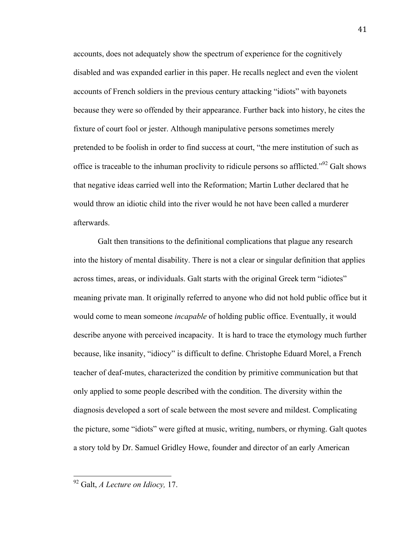accounts, does not adequately show the spectrum of experience for the cognitively disabled and was expanded earlier in this paper. He recalls neglect and even the violent accounts of French soldiers in the previous century attacking "idiots" with bayonets because they were so offended by their appearance. Further back into history, he cites the fixture of court fool or jester. Although manipulative persons sometimes merely pretended to be foolish in order to find success at court, "the mere institution of such as office is traceable to the inhuman proclivity to ridicule persons so afflicted.<sup> $292$ </sup> Galt shows that negative ideas carried well into the Reformation; Martin Luther declared that he would throw an idiotic child into the river would he not have been called a murderer afterwards.

Galt then transitions to the definitional complications that plague any research into the history of mental disability. There is not a clear or singular definition that applies across times, areas, or individuals. Galt starts with the original Greek term "idiotes" meaning private man. It originally referred to anyone who did not hold public office but it would come to mean someone *incapable* of holding public office. Eventually, it would describe anyone with perceived incapacity. It is hard to trace the etymology much further because, like insanity, "idiocy" is difficult to define. Christophe Eduard Morel, a French teacher of deaf-mutes, characterized the condition by primitive communication but that only applied to some people described with the condition. The diversity within the diagnosis developed a sort of scale between the most severe and mildest. Complicating the picture, some "idiots" were gifted at music, writing, numbers, or rhyming. Galt quotes a story told by Dr. Samuel Gridley Howe, founder and director of an early American

 92 Galt, *A Lecture on Idiocy,* 17.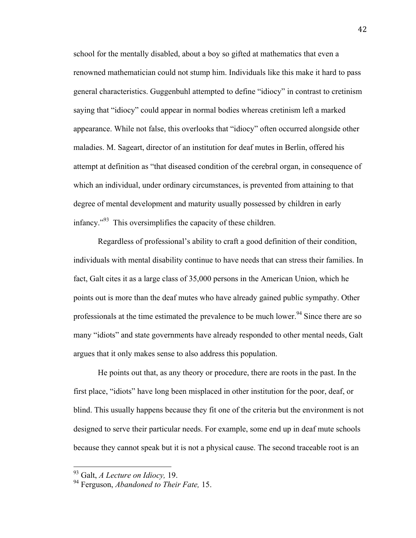school for the mentally disabled, about a boy so gifted at mathematics that even a renowned mathematician could not stump him. Individuals like this make it hard to pass general characteristics. Guggenbuhl attempted to define "idiocy" in contrast to cretinism saying that "idiocy" could appear in normal bodies whereas cretinism left a marked appearance. While not false, this overlooks that "idiocy" often occurred alongside other maladies. M. Sageart, director of an institution for deaf mutes in Berlin, offered his attempt at definition as "that diseased condition of the cerebral organ, in consequence of which an individual, under ordinary circumstances, is prevented from attaining to that degree of mental development and maturity usually possessed by children in early infancy."93 This oversimplifies the capacity of these children.

Regardless of professional's ability to craft a good definition of their condition, individuals with mental disability continue to have needs that can stress their families. In fact, Galt cites it as a large class of 35,000 persons in the American Union, which he points out is more than the deaf mutes who have already gained public sympathy. Other professionals at the time estimated the prevalence to be much lower.<sup>94</sup> Since there are so many "idiots" and state governments have already responded to other mental needs, Galt argues that it only makes sense to also address this population.

He points out that, as any theory or procedure, there are roots in the past. In the first place, "idiots" have long been misplaced in other institution for the poor, deaf, or blind. This usually happens because they fit one of the criteria but the environment is not designed to serve their particular needs. For example, some end up in deaf mute schools because they cannot speak but it is not a physical cause. The second traceable root is an

 93 Galt, *A Lecture on Idiocy,* 19.

<sup>94</sup> Ferguson, *Abandoned to Their Fate,* 15.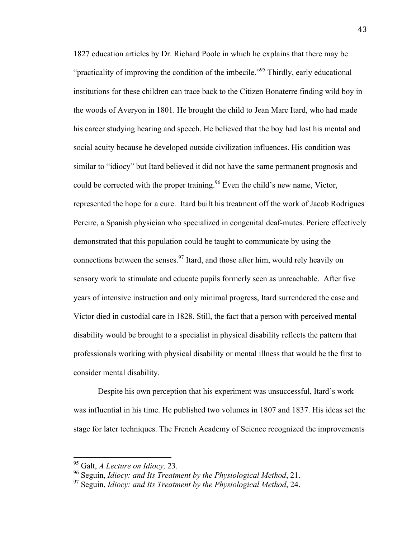1827 education articles by Dr. Richard Poole in which he explains that there may be "practicality of improving the condition of the imbecile."<sup>95</sup> Thirdly, early educational institutions for these children can trace back to the Citizen Bonaterre finding wild boy in the woods of Averyon in 1801. He brought the child to Jean Marc Itard, who had made his career studying hearing and speech. He believed that the boy had lost his mental and social acuity because he developed outside civilization influences. His condition was similar to "idiocy" but Itard believed it did not have the same permanent prognosis and could be corrected with the proper training.<sup>96</sup> Even the child's new name, Victor, represented the hope for a cure. Itard built his treatment off the work of Jacob Rodrigues Pereire, a Spanish physician who specialized in congenital deaf-mutes. Periere effectively demonstrated that this population could be taught to communicate by using the connections between the senses.<sup>97</sup> Itard, and those after him, would rely heavily on sensory work to stimulate and educate pupils formerly seen as unreachable. After five years of intensive instruction and only minimal progress, Itard surrendered the case and Victor died in custodial care in 1828. Still, the fact that a person with perceived mental disability would be brought to a specialist in physical disability reflects the pattern that professionals working with physical disability or mental illness that would be the first to consider mental disability.

Despite his own perception that his experiment was unsuccessful, Itard's work was influential in his time. He published two volumes in 1807 and 1837. His ideas set the stage for later techniques. The French Academy of Science recognized the improvements

 95 Galt, *A Lecture on Idiocy,* 23.

<sup>96</sup> Seguin, *Idiocy: and Its Treatment by the Physiological Method*, 21.

<sup>97</sup> Seguin, *Idiocy: and Its Treatment by the Physiological Method*, 24.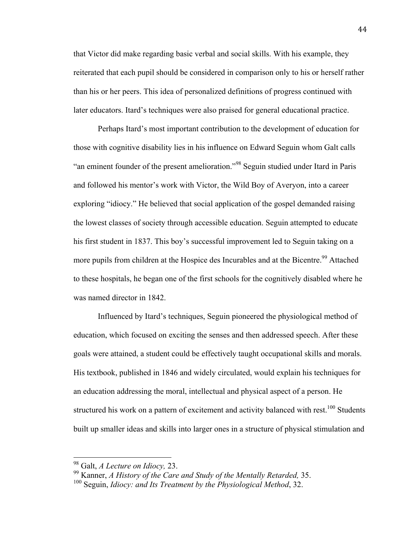that Victor did make regarding basic verbal and social skills. With his example, they reiterated that each pupil should be considered in comparison only to his or herself rather than his or her peers. This idea of personalized definitions of progress continued with later educators. Itard's techniques were also praised for general educational practice.

Perhaps Itard's most important contribution to the development of education for those with cognitive disability lies in his influence on Edward Seguin whom Galt calls "an eminent founder of the present amelioration."<sup>98</sup> Seguin studied under Itard in Paris and followed his mentor's work with Victor, the Wild Boy of Averyon, into a career exploring "idiocy." He believed that social application of the gospel demanded raising the lowest classes of society through accessible education. Seguin attempted to educate his first student in 1837. This boy's successful improvement led to Seguin taking on a more pupils from children at the Hospice des Incurables and at the Bicentre.<sup>99</sup> Attached to these hospitals, he began one of the first schools for the cognitively disabled where he was named director in 1842.

Influenced by Itard's techniques, Seguin pioneered the physiological method of education, which focused on exciting the senses and then addressed speech. After these goals were attained, a student could be effectively taught occupational skills and morals. His textbook, published in 1846 and widely circulated, would explain his techniques for an education addressing the moral, intellectual and physical aspect of a person. He structured his work on a pattern of excitement and activity balanced with rest.<sup>100</sup> Students built up smaller ideas and skills into larger ones in a structure of physical stimulation and

 98 Galt, *A Lecture on Idiocy,* 23.

<sup>99</sup> Kanner, *A History of the Care and Study of the Mentally Retarded,* 35.

<sup>100</sup> Seguin, *Idiocy: and Its Treatment by the Physiological Method*, 32.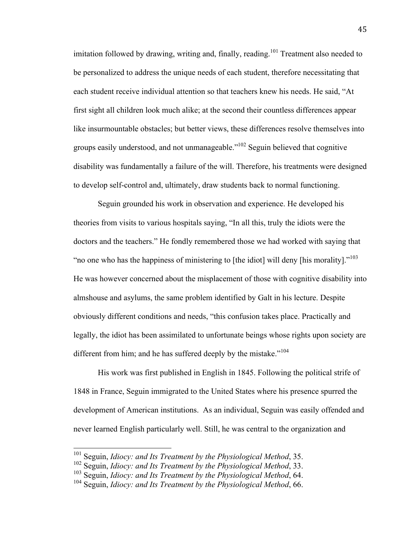imitation followed by drawing, writing and, finally, reading.<sup>101</sup> Treatment also needed to be personalized to address the unique needs of each student, therefore necessitating that each student receive individual attention so that teachers knew his needs. He said, "At first sight all children look much alike; at the second their countless differences appear like insurmountable obstacles; but better views, these differences resolve themselves into groups easily understood, and not unmanageable."102 Seguin believed that cognitive disability was fundamentally a failure of the will. Therefore, his treatments were designed to develop self-control and, ultimately, draw students back to normal functioning.

Seguin grounded his work in observation and experience. He developed his theories from visits to various hospitals saying, "In all this, truly the idiots were the doctors and the teachers." He fondly remembered those we had worked with saying that "no one who has the happiness of ministering to [the idiot] will deny [his morality]."<sup>103</sup> He was however concerned about the misplacement of those with cognitive disability into almshouse and asylums, the same problem identified by Galt in his lecture. Despite obviously different conditions and needs, "this confusion takes place. Practically and legally, the idiot has been assimilated to unfortunate beings whose rights upon society are different from him; and he has suffered deeply by the mistake."<sup>104</sup>

His work was first published in English in 1845. Following the political strife of 1848 in France, Seguin immigrated to the United States where his presence spurred the development of American institutions. As an individual, Seguin was easily offended and never learned English particularly well. Still, he was central to the organization and

 101 Seguin, *Idiocy: and Its Treatment by the Physiological Method*, 35.

<sup>102</sup> Seguin, *Idiocy: and Its Treatment by the Physiological Method*, 33.

<sup>103</sup> Seguin, *Idiocy: and Its Treatment by the Physiological Method*, 64.

<sup>104</sup> Seguin, *Idiocy: and Its Treatment by the Physiological Method*, 66.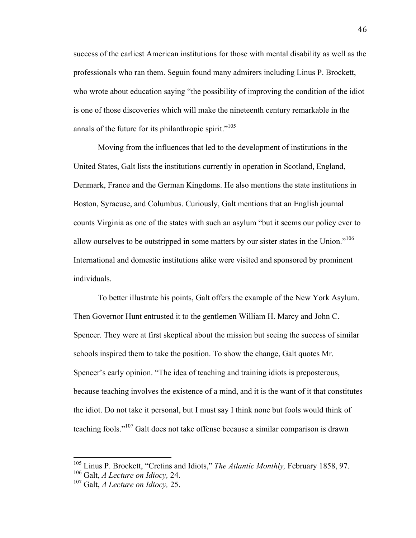success of the earliest American institutions for those with mental disability as well as the professionals who ran them. Seguin found many admirers including Linus P. Brockett, who wrote about education saying "the possibility of improving the condition of the idiot is one of those discoveries which will make the nineteenth century remarkable in the annals of the future for its philanthropic spirit."<sup>105</sup>

Moving from the influences that led to the development of institutions in the United States, Galt lists the institutions currently in operation in Scotland, England, Denmark, France and the German Kingdoms. He also mentions the state institutions in Boston, Syracuse, and Columbus. Curiously, Galt mentions that an English journal counts Virginia as one of the states with such an asylum "but it seems our policy ever to allow ourselves to be outstripped in some matters by our sister states in the Union."<sup>106</sup> International and domestic institutions alike were visited and sponsored by prominent individuals.

To better illustrate his points, Galt offers the example of the New York Asylum. Then Governor Hunt entrusted it to the gentlemen William H. Marcy and John C. Spencer. They were at first skeptical about the mission but seeing the success of similar schools inspired them to take the position. To show the change, Galt quotes Mr. Spencer's early opinion. "The idea of teaching and training idiots is preposterous, because teaching involves the existence of a mind, and it is the want of it that constitutes the idiot. Do not take it personal, but I must say I think none but fools would think of teaching fools."107 Galt does not take offense because a similar comparison is drawn

 105 Linus P. Brockett, "Cretins and Idiots," *The Atlantic Monthly,* February 1858, 97.

<sup>106</sup> Galt, *A Lecture on Idiocy,* 24.

<sup>107</sup> Galt, *A Lecture on Idiocy,* 25.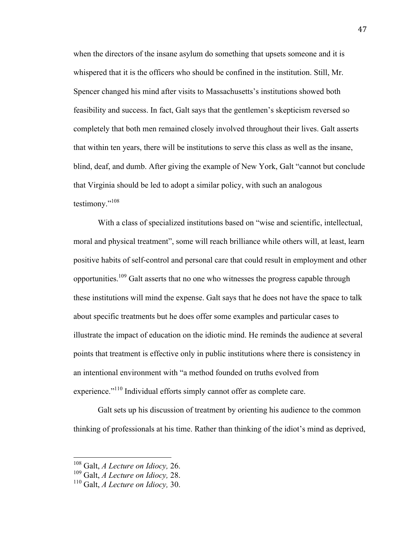when the directors of the insane asylum do something that upsets someone and it is whispered that it is the officers who should be confined in the institution. Still, Mr. Spencer changed his mind after visits to Massachusetts's institutions showed both feasibility and success. In fact, Galt says that the gentlemen's skepticism reversed so completely that both men remained closely involved throughout their lives. Galt asserts that within ten years, there will be institutions to serve this class as well as the insane, blind, deaf, and dumb. After giving the example of New York, Galt "cannot but conclude that Virginia should be led to adopt a similar policy, with such an analogous testimony."<sup>108</sup>

With a class of specialized institutions based on "wise and scientific, intellectual, moral and physical treatment", some will reach brilliance while others will, at least, learn positive habits of self-control and personal care that could result in employment and other opportunities.109 Galt asserts that no one who witnesses the progress capable through these institutions will mind the expense. Galt says that he does not have the space to talk about specific treatments but he does offer some examples and particular cases to illustrate the impact of education on the idiotic mind. He reminds the audience at several points that treatment is effective only in public institutions where there is consistency in an intentional environment with "a method founded on truths evolved from experience."<sup>110</sup> Individual efforts simply cannot offer as complete care.

Galt sets up his discussion of treatment by orienting his audience to the common thinking of professionals at his time. Rather than thinking of the idiot's mind as deprived,

 108 Galt, *A Lecture on Idiocy,* 26.

<sup>109</sup> Galt, *A Lecture on Idiocy,* 28.

<sup>110</sup> Galt, *A Lecture on Idiocy,* 30.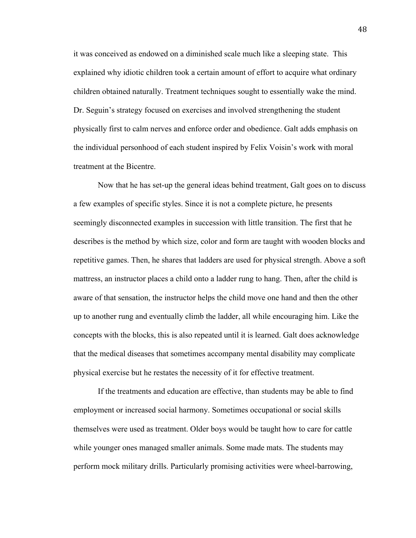it was conceived as endowed on a diminished scale much like a sleeping state. This explained why idiotic children took a certain amount of effort to acquire what ordinary children obtained naturally. Treatment techniques sought to essentially wake the mind. Dr. Seguin's strategy focused on exercises and involved strengthening the student physically first to calm nerves and enforce order and obedience. Galt adds emphasis on the individual personhood of each student inspired by Felix Voisin's work with moral treatment at the Bicentre.

Now that he has set-up the general ideas behind treatment, Galt goes on to discuss a few examples of specific styles. Since it is not a complete picture, he presents seemingly disconnected examples in succession with little transition. The first that he describes is the method by which size, color and form are taught with wooden blocks and repetitive games. Then, he shares that ladders are used for physical strength. Above a soft mattress, an instructor places a child onto a ladder rung to hang. Then, after the child is aware of that sensation, the instructor helps the child move one hand and then the other up to another rung and eventually climb the ladder, all while encouraging him. Like the concepts with the blocks, this is also repeated until it is learned. Galt does acknowledge that the medical diseases that sometimes accompany mental disability may complicate physical exercise but he restates the necessity of it for effective treatment.

If the treatments and education are effective, than students may be able to find employment or increased social harmony. Sometimes occupational or social skills themselves were used as treatment. Older boys would be taught how to care for cattle while younger ones managed smaller animals. Some made mats. The students may perform mock military drills. Particularly promising activities were wheel-barrowing,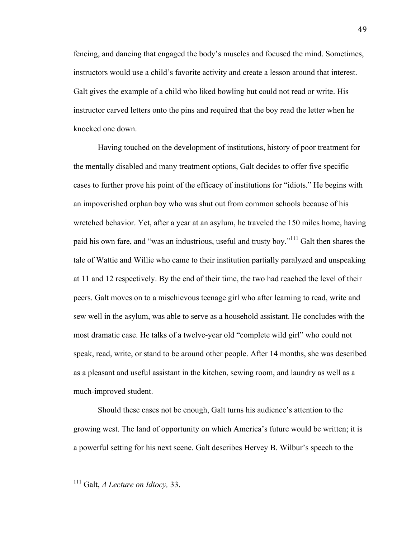fencing, and dancing that engaged the body's muscles and focused the mind. Sometimes, instructors would use a child's favorite activity and create a lesson around that interest. Galt gives the example of a child who liked bowling but could not read or write. His instructor carved letters onto the pins and required that the boy read the letter when he knocked one down.

Having touched on the development of institutions, history of poor treatment for the mentally disabled and many treatment options, Galt decides to offer five specific cases to further prove his point of the efficacy of institutions for "idiots." He begins with an impoverished orphan boy who was shut out from common schools because of his wretched behavior. Yet, after a year at an asylum, he traveled the 150 miles home, having paid his own fare, and "was an industrious, useful and trusty boy."<sup>111</sup> Galt then shares the tale of Wattie and Willie who came to their institution partially paralyzed and unspeaking at 11 and 12 respectively. By the end of their time, the two had reached the level of their peers. Galt moves on to a mischievous teenage girl who after learning to read, write and sew well in the asylum, was able to serve as a household assistant. He concludes with the most dramatic case. He talks of a twelve-year old "complete wild girl" who could not speak, read, write, or stand to be around other people. After 14 months, she was described as a pleasant and useful assistant in the kitchen, sewing room, and laundry as well as a much-improved student.

Should these cases not be enough, Galt turns his audience's attention to the growing west. The land of opportunity on which America's future would be written; it is a powerful setting for his next scene. Galt describes Hervey B. Wilbur's speech to the

 111 Galt, *A Lecture on Idiocy,* 33.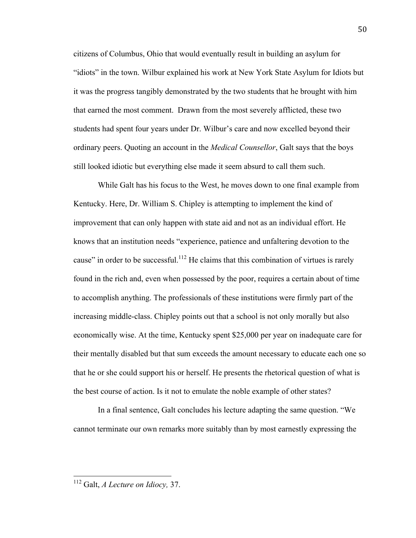citizens of Columbus, Ohio that would eventually result in building an asylum for "idiots" in the town. Wilbur explained his work at New York State Asylum for Idiots but it was the progress tangibly demonstrated by the two students that he brought with him that earned the most comment. Drawn from the most severely afflicted, these two students had spent four years under Dr. Wilbur's care and now excelled beyond their ordinary peers. Quoting an account in the *Medical Counsellor*, Galt says that the boys still looked idiotic but everything else made it seem absurd to call them such.

While Galt has his focus to the West, he moves down to one final example from Kentucky. Here, Dr. William S. Chipley is attempting to implement the kind of improvement that can only happen with state aid and not as an individual effort. He knows that an institution needs "experience, patience and unfaltering devotion to the cause" in order to be successful.<sup>112</sup> He claims that this combination of virtues is rarely found in the rich and, even when possessed by the poor, requires a certain about of time to accomplish anything. The professionals of these institutions were firmly part of the increasing middle-class. Chipley points out that a school is not only morally but also economically wise. At the time, Kentucky spent \$25,000 per year on inadequate care for their mentally disabled but that sum exceeds the amount necessary to educate each one so that he or she could support his or herself. He presents the rhetorical question of what is the best course of action. Is it not to emulate the noble example of other states?

In a final sentence, Galt concludes his lecture adapting the same question. "We cannot terminate our own remarks more suitably than by most earnestly expressing the

 112 Galt, *A Lecture on Idiocy,* 37.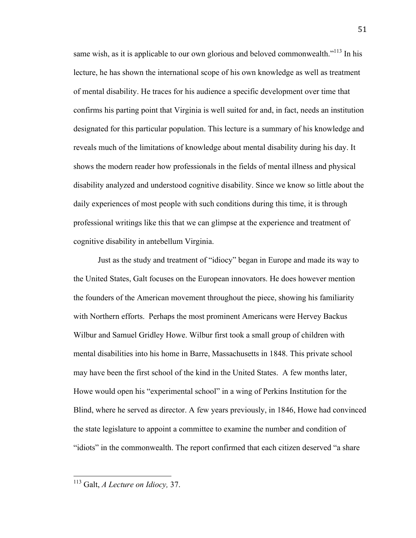same wish, as it is applicable to our own glorious and beloved commonwealth. $113$  In his lecture, he has shown the international scope of his own knowledge as well as treatment of mental disability. He traces for his audience a specific development over time that confirms his parting point that Virginia is well suited for and, in fact, needs an institution designated for this particular population. This lecture is a summary of his knowledge and reveals much of the limitations of knowledge about mental disability during his day. It shows the modern reader how professionals in the fields of mental illness and physical disability analyzed and understood cognitive disability. Since we know so little about the daily experiences of most people with such conditions during this time, it is through professional writings like this that we can glimpse at the experience and treatment of cognitive disability in antebellum Virginia.

Just as the study and treatment of "idiocy" began in Europe and made its way to the United States, Galt focuses on the European innovators. He does however mention the founders of the American movement throughout the piece, showing his familiarity with Northern efforts. Perhaps the most prominent Americans were Hervey Backus Wilbur and Samuel Gridley Howe. Wilbur first took a small group of children with mental disabilities into his home in Barre, Massachusetts in 1848. This private school may have been the first school of the kind in the United States. A few months later, Howe would open his "experimental school" in a wing of Perkins Institution for the Blind, where he served as director. A few years previously, in 1846, Howe had convinced the state legislature to appoint a committee to examine the number and condition of "idiots" in the commonwealth. The report confirmed that each citizen deserved "a share

 113 Galt, *A Lecture on Idiocy,* 37.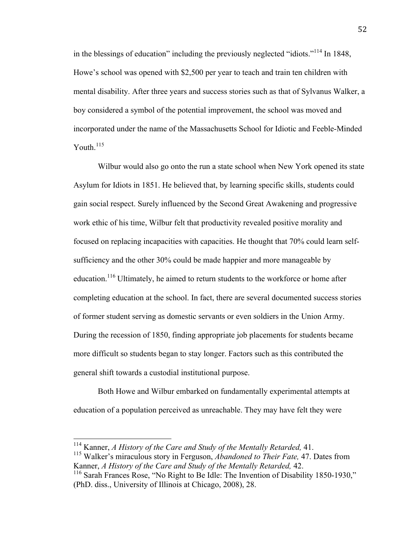in the blessings of education" including the previously neglected "idiots."<sup>114</sup> In 1848, Howe's school was opened with \$2,500 per year to teach and train ten children with mental disability. After three years and success stories such as that of Sylvanus Walker, a boy considered a symbol of the potential improvement, the school was moved and incorporated under the name of the Massachusetts School for Idiotic and Feeble-Minded Youth.<sup>115</sup>

Wilbur would also go onto the run a state school when New York opened its state Asylum for Idiots in 1851. He believed that, by learning specific skills, students could gain social respect. Surely influenced by the Second Great Awakening and progressive work ethic of his time, Wilbur felt that productivity revealed positive morality and focused on replacing incapacities with capacities. He thought that 70% could learn selfsufficiency and the other 30% could be made happier and more manageable by education.<sup>116</sup> Ultimately, he aimed to return students to the workforce or home after completing education at the school. In fact, there are several documented success stories of former student serving as domestic servants or even soldiers in the Union Army. During the recession of 1850, finding appropriate job placements for students became more difficult so students began to stay longer. Factors such as this contributed the general shift towards a custodial institutional purpose.

Both Howe and Wilbur embarked on fundamentally experimental attempts at education of a population perceived as unreachable. They may have felt they were

 114 Kanner, *A History of the Care and Study of the Mentally Retarded,* 41.

<sup>115</sup> Walker's miraculous story in Ferguson, *Abandoned to Their Fate,* 47. Dates from Kanner, *A History of the Care and Study of the Mentally Retarded,* 42.

<sup>&</sup>lt;sup>116</sup> Sarah Frances Rose, "No Right to Be Idle: The Invention of Disability 1850-1930," (PhD. diss., University of Illinois at Chicago, 2008), 28.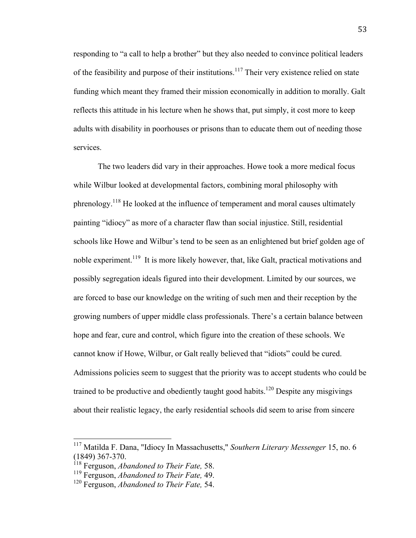responding to "a call to help a brother" but they also needed to convince political leaders of the feasibility and purpose of their institutions.<sup>117</sup> Their very existence relied on state funding which meant they framed their mission economically in addition to morally. Galt reflects this attitude in his lecture when he shows that, put simply, it cost more to keep adults with disability in poorhouses or prisons than to educate them out of needing those services.

The two leaders did vary in their approaches. Howe took a more medical focus while Wilbur looked at developmental factors, combining moral philosophy with phrenology.<sup>118</sup> He looked at the influence of temperament and moral causes ultimately painting "idiocy" as more of a character flaw than social injustice. Still, residential schools like Howe and Wilbur's tend to be seen as an enlightened but brief golden age of noble experiment.<sup>119</sup> It is more likely however, that, like Galt, practical motivations and possibly segregation ideals figured into their development. Limited by our sources, we are forced to base our knowledge on the writing of such men and their reception by the growing numbers of upper middle class professionals. There's a certain balance between hope and fear, cure and control, which figure into the creation of these schools. We cannot know if Howe, Wilbur, or Galt really believed that "idiots" could be cured. Admissions policies seem to suggest that the priority was to accept students who could be trained to be productive and obediently taught good habits.<sup>120</sup> Despite any misgivings about their realistic legacy, the early residential schools did seem to arise from sincere

 <sup>117</sup> Matilda F. Dana, "Idiocy In Massachusetts," *Southern Literary Messenger* 15, no. 6 (1849) 367-370.

<sup>118</sup> Ferguson, *Abandoned to Their Fate,* 58.

<sup>119</sup> Ferguson, *Abandoned to Their Fate,* 49.

<sup>120</sup> Ferguson, *Abandoned to Their Fate,* 54.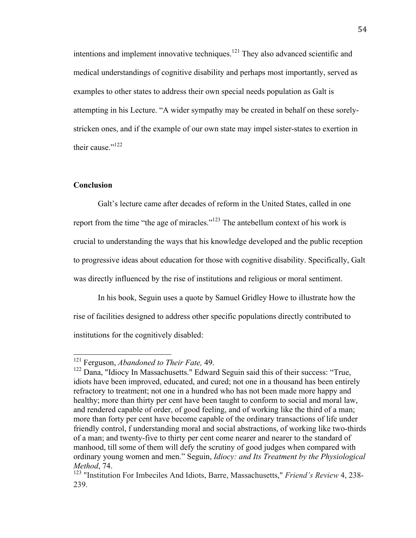intentions and implement innovative techniques.<sup>121</sup> They also advanced scientific and medical understandings of cognitive disability and perhaps most importantly, served as examples to other states to address their own special needs population as Galt is attempting in his Lecture. "A wider sympathy may be created in behalf on these sorelystricken ones, and if the example of our own state may impel sister-states to exertion in their cause  $"$ <sup>122</sup>

#### **Conclusion**

Galt's lecture came after decades of reform in the United States, called in one report from the time "the age of miracles."123 The antebellum context of his work is crucial to understanding the ways that his knowledge developed and the public reception to progressive ideas about education for those with cognitive disability. Specifically, Galt was directly influenced by the rise of institutions and religious or moral sentiment.

In his book, Seguin uses a quote by Samuel Gridley Howe to illustrate how the rise of facilities designed to address other specific populations directly contributed to institutions for the cognitively disabled:

 121 Ferguson, *Abandoned to Their Fate,* 49.

<sup>&</sup>lt;sup>122</sup> Dana, "Idiocy In Massachusetts." Edward Seguin said this of their success: "True, idiots have been improved, educated, and cured; not one in a thousand has been entirely refractory to treatment; not one in a hundred who has not been made more happy and healthy; more than thirty per cent have been taught to conform to social and moral law, and rendered capable of order, of good feeling, and of working like the third of a man; more than forty per cent have become capable of the ordinary transactions of life under friendly control, f understanding moral and social abstractions, of working like two-thirds of a man; and twenty-five to thirty per cent come nearer and nearer to the standard of manhood, till some of them will defy the scrutiny of good judges when compared with ordinary young women and men." Seguin, *Idiocy: and Its Treatment by the Physiological Method*, 74.

<sup>123</sup> "Institution For Imbeciles And Idiots, Barre, Massachusetts," *Friend's Review* 4, 238- 239.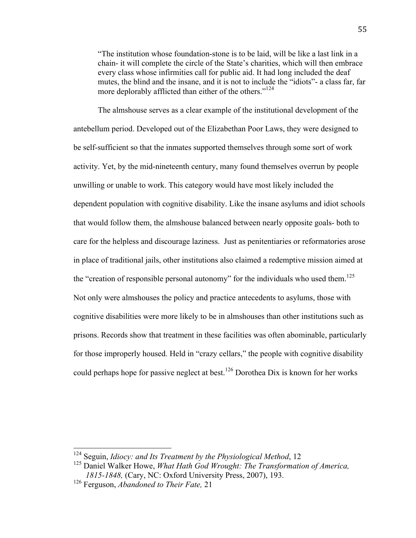"The institution whose foundation-stone is to be laid, will be like a last link in a chain- it will complete the circle of the State's charities, which will then embrace every class whose infirmities call for public aid. It had long included the deaf mutes, the blind and the insane, and it is not to include the "idiots"- a class far, far more deplorably afflicted than either of the others."<sup>124</sup>

The almshouse serves as a clear example of the institutional development of the antebellum period. Developed out of the Elizabethan Poor Laws, they were designed to be self-sufficient so that the inmates supported themselves through some sort of work activity. Yet, by the mid-nineteenth century, many found themselves overrun by people unwilling or unable to work. This category would have most likely included the dependent population with cognitive disability. Like the insane asylums and idiot schools that would follow them, the almshouse balanced between nearly opposite goals- both to care for the helpless and discourage laziness. Just as penitentiaries or reformatories arose in place of traditional jails, other institutions also claimed a redemptive mission aimed at the "creation of responsible personal autonomy" for the individuals who used them.<sup>125</sup> Not only were almshouses the policy and practice antecedents to asylums, those with cognitive disabilities were more likely to be in almshouses than other institutions such as prisons. Records show that treatment in these facilities was often abominable, particularly for those improperly housed. Held in "crazy cellars," the people with cognitive disability could perhaps hope for passive neglect at best. 126 Dorothea Dix is known for her works

 124 Seguin, *Idiocy: and Its Treatment by the Physiological Method*, 12

<sup>125</sup> Daniel Walker Howe, *What Hath God Wrought: The Transformation of America, 1815-1848,* (Cary, NC: Oxford University Press, 2007), 193.

<sup>126</sup> Ferguson, *Abandoned to Their Fate,* 21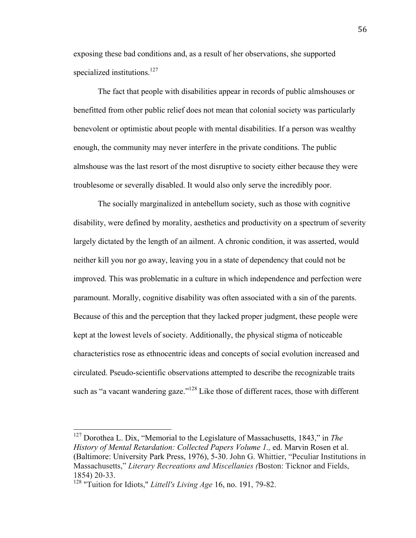exposing these bad conditions and, as a result of her observations, she supported specialized institutions.<sup>127</sup>

The fact that people with disabilities appear in records of public almshouses or benefitted from other public relief does not mean that colonial society was particularly benevolent or optimistic about people with mental disabilities. If a person was wealthy enough, the community may never interfere in the private conditions. The public almshouse was the last resort of the most disruptive to society either because they were troublesome or severally disabled. It would also only serve the incredibly poor.

The socially marginalized in antebellum society, such as those with cognitive disability, were defined by morality, aesthetics and productivity on a spectrum of severity largely dictated by the length of an ailment. A chronic condition, it was asserted, would neither kill you nor go away, leaving you in a state of dependency that could not be improved. This was problematic in a culture in which independence and perfection were paramount. Morally, cognitive disability was often associated with a sin of the parents. Because of this and the perception that they lacked proper judgment, these people were kept at the lowest levels of society. Additionally, the physical stigma of noticeable characteristics rose as ethnocentric ideas and concepts of social evolution increased and circulated. Pseudo-scientific observations attempted to describe the recognizable traits such as "a vacant wandering gaze."<sup>128</sup> Like those of different races, those with different

 127 Dorothea L. Dix, "Memorial to the Legislature of Massachusetts, 1843," in *The History of Mental Retardation: Collected Papers Volume 1., ed. Marvin Rosen et al.* (Baltimore: University Park Press, 1976), 5-30. John G. Whittier, "Peculiar Institutions in Massachusetts," *Literary Recreations and Miscellanies (*Boston: Ticknor and Fields, 1854) 20-33.

<sup>128</sup> "Tuition for Idiots," *Littell's Living Age* 16, no. 191, 79-82.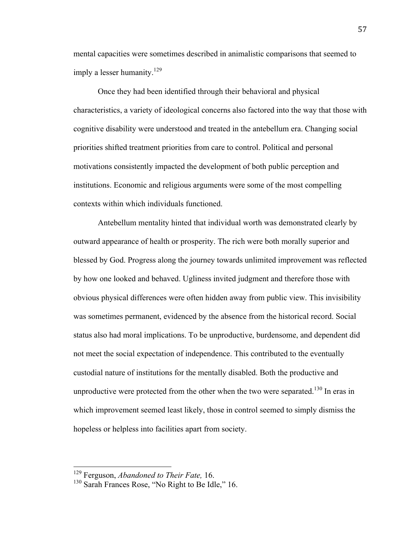mental capacities were sometimes described in animalistic comparisons that seemed to imply a lesser humanity.<sup>129</sup>

Once they had been identified through their behavioral and physical characteristics, a variety of ideological concerns also factored into the way that those with cognitive disability were understood and treated in the antebellum era. Changing social priorities shifted treatment priorities from care to control. Political and personal motivations consistently impacted the development of both public perception and institutions. Economic and religious arguments were some of the most compelling contexts within which individuals functioned.

Antebellum mentality hinted that individual worth was demonstrated clearly by outward appearance of health or prosperity. The rich were both morally superior and blessed by God. Progress along the journey towards unlimited improvement was reflected by how one looked and behaved. Ugliness invited judgment and therefore those with obvious physical differences were often hidden away from public view. This invisibility was sometimes permanent, evidenced by the absence from the historical record. Social status also had moral implications. To be unproductive, burdensome, and dependent did not meet the social expectation of independence. This contributed to the eventually custodial nature of institutions for the mentally disabled. Both the productive and unproductive were protected from the other when the two were separated.<sup>130</sup> In eras in which improvement seemed least likely, those in control seemed to simply dismiss the hopeless or helpless into facilities apart from society.

 129 Ferguson, *Abandoned to Their Fate,* 16.

<sup>&</sup>lt;sup>130</sup> Sarah Frances Rose, "No Right to Be Idle," 16.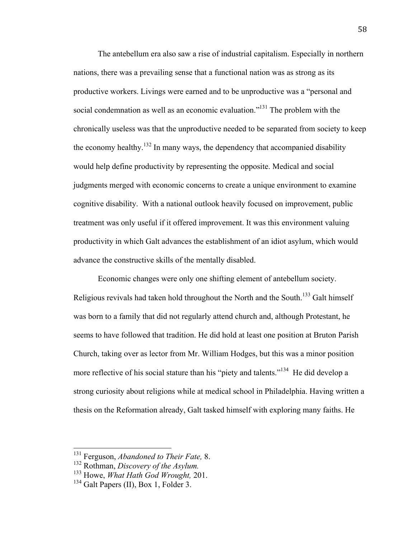The antebellum era also saw a rise of industrial capitalism. Especially in northern nations, there was a prevailing sense that a functional nation was as strong as its productive workers. Livings were earned and to be unproductive was a "personal and social condemnation as well as an economic evaluation."<sup>131</sup> The problem with the chronically useless was that the unproductive needed to be separated from society to keep the economy healthy.<sup>132</sup> In many ways, the dependency that accompanied disability would help define productivity by representing the opposite. Medical and social judgments merged with economic concerns to create a unique environment to examine cognitive disability. With a national outlook heavily focused on improvement, public treatment was only useful if it offered improvement. It was this environment valuing productivity in which Galt advances the establishment of an idiot asylum, which would advance the constructive skills of the mentally disabled.

Economic changes were only one shifting element of antebellum society. Religious revivals had taken hold throughout the North and the South.<sup>133</sup> Galt himself was born to a family that did not regularly attend church and, although Protestant, he seems to have followed that tradition. He did hold at least one position at Bruton Parish Church, taking over as lector from Mr. William Hodges, but this was a minor position more reflective of his social stature than his "piety and talents."<sup>134</sup> He did develop a strong curiosity about religions while at medical school in Philadelphia. Having written a thesis on the Reformation already, Galt tasked himself with exploring many faiths. He

 131 Ferguson, *Abandoned to Their Fate,* 8.

<sup>132</sup> Rothman, *Discovery of the Asylum.* 

<sup>133</sup> Howe, *What Hath God Wrought,* 201.

<sup>&</sup>lt;sup>134</sup> Galt Papers (II), Box 1, Folder 3.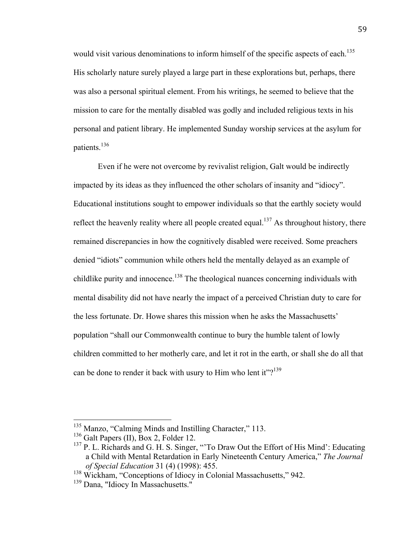would visit various denominations to inform himself of the specific aspects of each.<sup>135</sup> His scholarly nature surely played a large part in these explorations but, perhaps, there was also a personal spiritual element. From his writings, he seemed to believe that the mission to care for the mentally disabled was godly and included religious texts in his personal and patient library. He implemented Sunday worship services at the asylum for patients.<sup>136</sup>

Even if he were not overcome by revivalist religion, Galt would be indirectly impacted by its ideas as they influenced the other scholars of insanity and "idiocy". Educational institutions sought to empower individuals so that the earthly society would reflect the heavenly reality where all people created equal.<sup>137</sup> As throughout history, there remained discrepancies in how the cognitively disabled were received. Some preachers denied "idiots" communion while others held the mentally delayed as an example of childlike purity and innocence.<sup>138</sup> The theological nuances concerning individuals with mental disability did not have nearly the impact of a perceived Christian duty to care for the less fortunate. Dr. Howe shares this mission when he asks the Massachusetts' population "shall our Commonwealth continue to bury the humble talent of lowly children committed to her motherly care, and let it rot in the earth, or shall she do all that can be done to render it back with usury to Him who lent it"?<sup>139</sup>

 $135$  Manzo, "Calming Minds and Instilling Character," 113.<br> $136$  Galt Papers (II), Box 2, Folder 12.

 $137$  P. L. Richards and G. H. S. Singer, "'To Draw Out the Effort of His Mind': Educating a Child with Mental Retardation in Early Nineteenth Century America," *The Journal of Special Education* 31 (4) (1998): 455.

<sup>&</sup>lt;sup>138</sup> Wickham, "Conceptions of Idiocy in Colonial Massachusetts," 942.

<sup>&</sup>lt;sup>139</sup> Dana, "Idiocy In Massachusetts."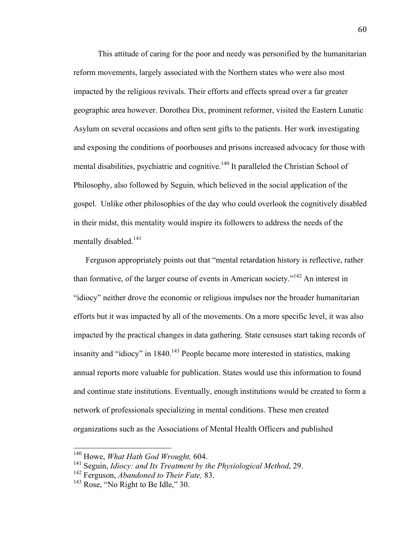This attitude of caring for the poor and needy was personified by the humanitarian reform movements, largely associated with the Northern states who were also most impacted by the religious revivals. Their efforts and effects spread over a far greater geographic area however. Dorothea Dix, prominent reformer, visited the Eastern Lunatic Asylum on several occasions and often sent gifts to the patients. Her work investigating and exposing the conditions of poorhouses and prisons increased advocacy for those with mental disabilities, psychiatric and cognitive.<sup>140</sup> It paralleled the Christian School of Philosophy, also followed by Seguin, which believed in the social application of the gospel. Unlike other philosophies of the day who could overlook the cognitively disabled in their midst, this mentality would inspire its followers to address the needs of the mentally disabled.<sup>141</sup>

Ferguson appropriately points out that "mental retardation history is reflective, rather than formative, of the larger course of events in American society."142 An interest in "idiocy" neither drove the economic or religious impulses nor the broader humanitarian efforts but it was impacted by all of the movements. On a more specific level, it was also impacted by the practical changes in data gathering. State censuses start taking records of insanity and "idiocy" in  $1840$ <sup> $143$ </sup> People became more interested in statistics, making annual reports more valuable for publication. States would use this information to found and continue state institutions. Eventually, enough institutions would be created to form a network of professionals specializing in mental conditions. These men created organizations such as the Associations of Mental Health Officers and published

 140 Howe, *What Hath God Wrought,* 604.

<sup>141</sup> Seguin, *Idiocy: and Its Treatment by the Physiological Method*, 29.

<sup>142</sup> Ferguson, *Abandoned to Their Fate,* 83.

 $143$  Rose, "No Right to Be Idle," 30.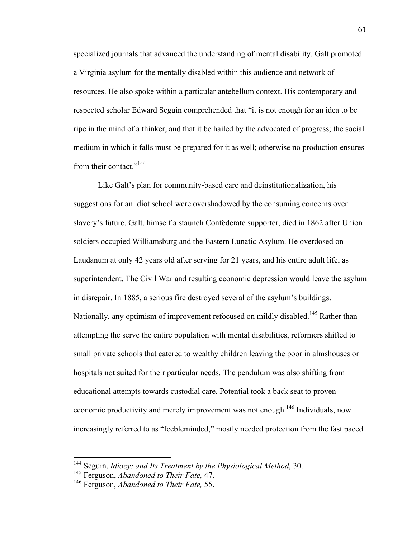specialized journals that advanced the understanding of mental disability. Galt promoted a Virginia asylum for the mentally disabled within this audience and network of resources. He also spoke within a particular antebellum context. His contemporary and respected scholar Edward Seguin comprehended that "it is not enough for an idea to be ripe in the mind of a thinker, and that it be hailed by the advocated of progress; the social medium in which it falls must be prepared for it as well; otherwise no production ensures from their contact."<sup>144</sup>

Like Galt's plan for community-based care and deinstitutionalization, his suggestions for an idiot school were overshadowed by the consuming concerns over slavery's future. Galt, himself a staunch Confederate supporter, died in 1862 after Union soldiers occupied Williamsburg and the Eastern Lunatic Asylum. He overdosed on Laudanum at only 42 years old after serving for 21 years, and his entire adult life, as superintendent. The Civil War and resulting economic depression would leave the asylum in disrepair. In 1885, a serious fire destroyed several of the asylum's buildings. Nationally, any optimism of improvement refocused on mildly disabled.<sup>145</sup> Rather than attempting the serve the entire population with mental disabilities, reformers shifted to small private schools that catered to wealthy children leaving the poor in almshouses or hospitals not suited for their particular needs. The pendulum was also shifting from educational attempts towards custodial care. Potential took a back seat to proven economic productivity and merely improvement was not enough.<sup>146</sup> Individuals, now increasingly referred to as "feebleminded," mostly needed protection from the fast paced

 144 Seguin, *Idiocy: and Its Treatment by the Physiological Method*, 30.

<sup>145</sup> Ferguson, *Abandoned to Their Fate,* 47.

<sup>146</sup> Ferguson, *Abandoned to Their Fate,* 55.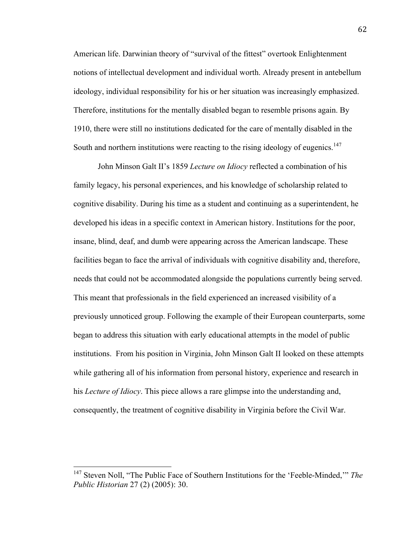American life. Darwinian theory of "survival of the fittest" overtook Enlightenment notions of intellectual development and individual worth. Already present in antebellum ideology, individual responsibility for his or her situation was increasingly emphasized. Therefore, institutions for the mentally disabled began to resemble prisons again. By 1910, there were still no institutions dedicated for the care of mentally disabled in the South and northern institutions were reacting to the rising ideology of eugenics.<sup>147</sup>

John Minson Galt II's 1859 *Lecture on Idiocy* reflected a combination of his family legacy, his personal experiences, and his knowledge of scholarship related to cognitive disability. During his time as a student and continuing as a superintendent, he developed his ideas in a specific context in American history. Institutions for the poor, insane, blind, deaf, and dumb were appearing across the American landscape. These facilities began to face the arrival of individuals with cognitive disability and, therefore, needs that could not be accommodated alongside the populations currently being served. This meant that professionals in the field experienced an increased visibility of a previously unnoticed group. Following the example of their European counterparts, some began to address this situation with early educational attempts in the model of public institutions. From his position in Virginia, John Minson Galt II looked on these attempts while gathering all of his information from personal history, experience and research in his *Lecture of Idiocy*. This piece allows a rare glimpse into the understanding and, consequently, the treatment of cognitive disability in Virginia before the Civil War.

 <sup>147</sup> Steven Noll, "The Public Face of Southern Institutions for the 'Feeble-Minded,'" *The Public Historian* 27 (2) (2005): 30.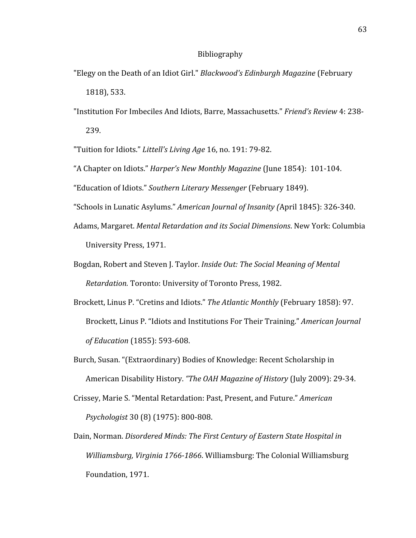#### Bibliography

- "Elegy on the Death of an Idiot Girl." *Blackwood's Edinburgh Magazine* (February 1818),
533.
- "Institution For Imbeciles And Idiots, Barre, Massachusetts." *Friend's Review* 4: 238‐ 239.

"Tuition for Idiots." *Littell's
Living
Age*16,
no.
191: 79‐82.

- "A
Chapter
on
Idiots." *Harper's
New
Monthly
Magazine* (June
1854):

101‐104.
- "Education
of
Idiots." *Southern
Literary
Messenger* (February
1849).
- "Schools
in
Lunatic
Asylums." *American
Journal
of
Insanity
(*April
1845):
326‐340.
- Adams,
Margaret. *Mental
Retardation
and
its
Social
Dimensions*.
New
York:
Columbia University
Press,
1971.
- Bogdan,
Robert
and
Steven
J.
Taylor. *Inside
Out:
The
Social
Meaning
of
Mental*  Retardation. Toronto: University of Toronto Press, 1982.
- Brockett,
Linus
P.
"Cretins
and
Idiots." *The Atlantic
Monthly* (February
1858):
97. Brockett,
Linus
P.
"Idiots
and
Institutions
For
Their
Training." *American
Journal of
Education* (1855):
593‐608.
- Burch,
Susan.
"(Extraordinary)
Bodies
of
Knowledge:
Recent
Scholarship
in American
Disability
History. *"The
OAH
Magazine
of
History* (July
2009):
29‐34.
- Crissey,
Marie
S.
"Mental
Retardation:
Past,
Present,
and
Future." *American Psychologist*30
(8)
(1975):
800‐808.
- Dain,
Norman. *Disordered
Minds:
The
First
Century
of
Eastern
State
Hospital
in*  Williamsburg, Virginia 1766-1866. Williamsburg: The Colonial Williamsburg Foundation,
1971.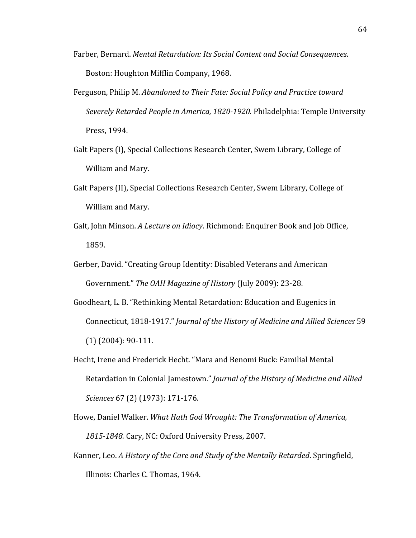- Farber,
Bernard. *Mental
Retardation:
Its
Social
Context
and
Social
Consequences*. Boston:
Houghton
Mifflin
Company,
1968.
- Ferguson, Philip M. Abandoned to Their Fate: Social Policy and Practice toward Severely Retarded People in America, 1820-1920. Philadelphia: Temple University Press,
1994.
- Galt Papers (I), Special Collections Research Center, Swem Library, College of William
and
Mary.
- Galt Papers (II), Special Collections Research Center, Swem Library, College of William
and
Mary.
- Galt, John Minson. A Lecture on Idiocy. Richmond: Enquirer Book and Job Office, 1859.
- Gerber, David. "Creating Group Identity: Disabled Veterans and American Government." *The
OAH
Magazine
of
History* (July
2009):
23‐28.
- Goodheart,
L.
B.
"Rethinking
Mental
Retardation:
Education
and
Eugenics
in Connecticut,
1818‐1917." *Journal
of
the
History
of
Medicine
and
Allied
Sciences*59 (1)
(2004):
90‐111.
- Hecht, Irene and Frederick Hecht. "Mara and Benomi Buck: Familial Mental Retardation
in
Colonial
Jamestown." *Journal
of
the
History
of
Medicine
and
Allied Sciences* 67
(2)
(1973): 171‐176.
- Howe, Daniel Walker. What Hath God Wrought: The Transformation of America, 1815-1848. Cary, NC: Oxford University Press, 2007.
- Kanner,
Leo. *A
History
of
the
Care
and
Study
of
the
Mentally
Retarded*.
Springfield, Illinois:
Charles
C.
Thomas,
1964.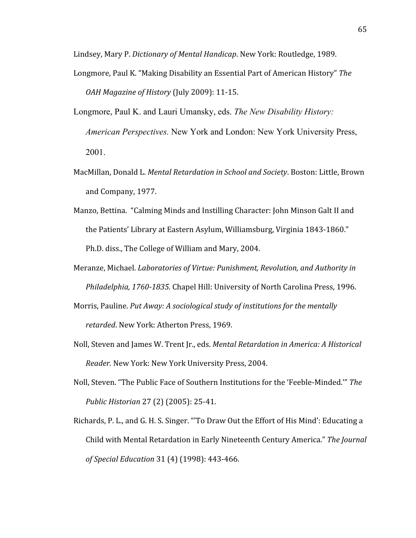Lindsey,
Mary
P. *Dictionary
of
Mental
Handicap*.
New
York:
Routledge,
1989.

- Longmore,
Paul
K.
"Making
Disability
an
Essential
Part
of
American
History" *The OAH
Magazine
of
History* (July
2009):
11‐15.
- Longmore, Paul K. and Lauri Umansky, eds. *The New Disability History: American Perspectives.* New York and London: New York University Press, 2001.
- MacMillan, Donald L. Mental Retardation in School and Society. Boston: Little, Brown and
Company,
1977.
- Manzo, Bettina. "Calming Minds and Instilling Character: John Minson Galt II and the
Patients'
Library
at
Eastern
Asylum,
Williamsburg,
Virginia
1843‐1860." Ph.D.
diss.,
The
College
of
William
and
Mary,
2004.
- Meranze,
Michael. *Laboratories
of
Virtue:
Punishment,
Revolution,
and
Authority
in*  Philadelphia, 1760-1835. Chapel Hill: University of North Carolina Press, 1996.
- Morris, Pauline. Put Away: A sociological study of institutions for the mentally retarded. New York: Atherton Press, 1969.
- Noll, Steven and James W. Trent Jr., eds. *Mental Retardation in America: A Historical* Reader. New York: New York University Press, 2004.
- Noll,
Steven.
"The
Public
Face
of
Southern
Institutions
for
the
'Feeble‐Minded.'" *The Public
Historian*27
(2)
(2005):
25‐41.
- Richards, P. L., and G. H. S. Singer. "To Draw Out the Effort of His Mind': Educating a Child
with
Mental
Retardation
in
Early
Nineteenth
Century
America." *The
Journal of
Special
Education*31
(4)
(1998):
443‐466.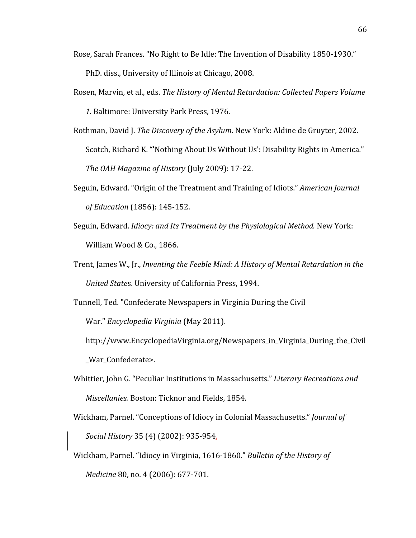Rose, Sarah Frances. "No Right to Be Idle: The Invention of Disability 1850-1930."

PhD.
diss.,
University
of
Illinois
at
Chicago,
2008.

- Rosen, Marvin, et al., eds. The History of Mental Retardation: Collected Papers Volume *1.*Baltimore:
University
Park
Press,
1976.
- Rothman,
David
J. *The
Discovery
of
the
Asylum*.
New
York:
Aldine
de
Gruyter,
2002. Scotch, Richard K. "Nothing About Us Without Us': Disability Rights in America." *The
OAH
Magazine
of
History* (July
2009):
17‐22.
- Seguin, Edward. "Origin of the Treatment and Training of Idiots." *American Journal of
Education*(1856):
145‐152.
- Seguin, Edward. *Idiocy: and Its Treatment by the Physiological Method.* New York: William
Wood
&
Co.,
1866.
- Trent,
James
W.,
Jr., *Inventing the Feeble Mind: A History of Mental Retardation in the* United States. University of California Press, 1994.

Tunnell,
Ted.
"Confederate
Newspapers
in
Virginia
During
the
Civil

War." *Encyclopedia
Virginia*(May
2011).

http://www.EncyclopediaVirginia.org/Newspapers\_in\_Virginia\_During\_the\_Civil \_War\_Confederate>.

- Whittier, John G. "Peculiar Institutions in Massachusetts." Literary Recreations and Miscellanies. Boston: Ticknor and Fields, 1854.
- Wickham,
Parnel.
"Conceptions
of
Idiocy
in
Colonial
Massachusetts." *Journal
of Social
History*35
(4)
(2002):
935‐954.
- Wickham, Parnel. "Idiocy in Virginia, 1616-1860." Bulletin of the History of *Medicine* 80,
no.
4
(2006): 677‐701.